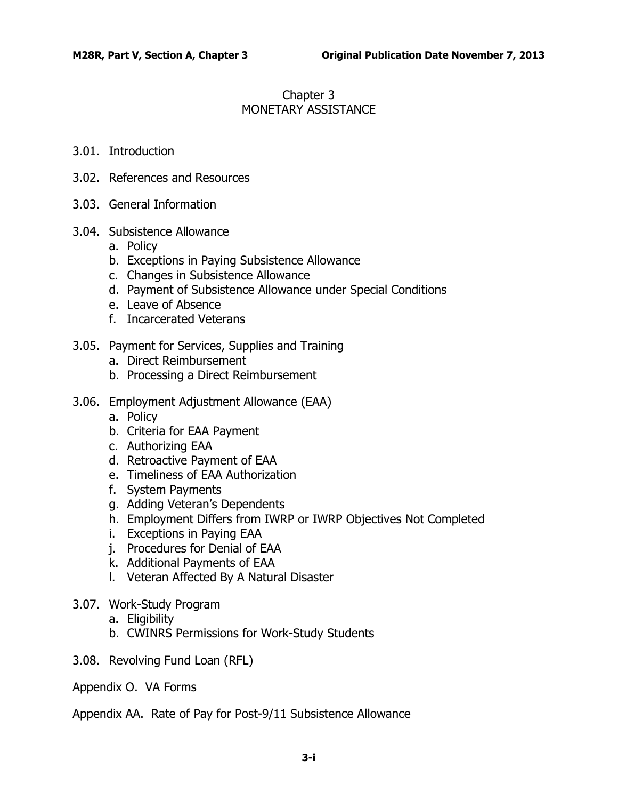# Chapter 3 MONETARY ASSISTANCE

### 3.01. [Introduction](#page-2-0)

- 3.02. [References and Resources](#page-2-1)
- 3.03. [General Information](#page-3-0)
- 3.04. [Subsistence Allowance](#page-3-1)
	- a. [Policy](#page-3-2)
	- b. [Exceptions in Paying Subsistence Allowance](#page-4-0)
	- c. [Changes in Subsistence Allowance](#page-14-0)
	- d. [Payment of Subsistence Allowance under Special Conditions](#page-15-0)
	- e. [Leave of Absence](#page-20-0)
	- f. [Incarcerated Veterans](#page-21-0)
- 3.05. [Payment for Services, Supplies and Training](#page-21-1)
	- a. [Direct Reimbursement](#page-21-2)
	- b. [Processing a Direct Reimbursement](#page-23-0)
- 3.06. [Employment Adjustment Allowance \(EAA\)](#page-24-0)
	- a. [Policy](#page-24-1)
	- b. [Criteria for EAA Payment](#page-25-0)
	- c. [Authorizing EAA](#page-28-0)
	- d. [Retroactive Payment of EAA](#page-30-0)
	- e. [Timeliness of EAA Authorization](#page-31-0)
	- f. [System Payments](#page-31-1)
	- g. [Adding Veteran's Dependents](#page-31-2)
	- h. [Employment Differs from IWRP or IWRP Objectives Not Completed](#page-31-3)
	- i. [Exceptions in Paying EAA](#page-32-0)
	- j. [Procedures for Denial of EAA](#page-34-0)
	- k. [Additional Payments of EAA](#page-34-1)
	- l. [Veteran Affected By A Natural Disaster](#page-35-0)
- 3.07. [Work-Study Program](#page-36-0)
	- a. [Eligibility](#page-36-1)
	- b. [CWINRS Permissions for Work-Study Students](#page-37-0)
- 3.08. [Revolving Fund Loan \(RFL\)](#page-37-1)
- Appendix O. VA Forms

Appendix AA. Rate of Pay for Post-9/11 Subsistence Allowance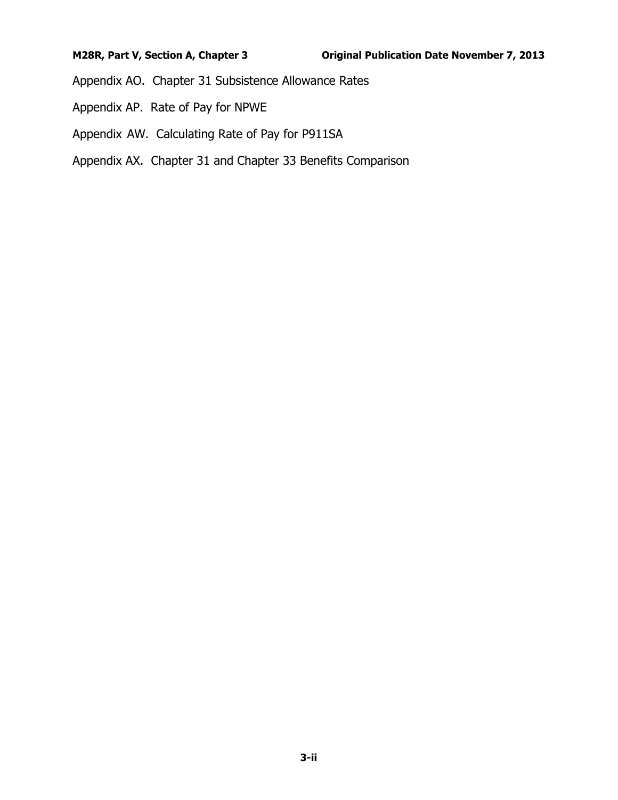Appendix AO. Chapter 31 Subsistence Allowance Rates

- Appendix AP. Rate of Pay for NPWE
- Appendix AW. Calculating Rate of Pay for P911SA
- Appendix AX. Chapter 31 and Chapter 33 Benefits Comparison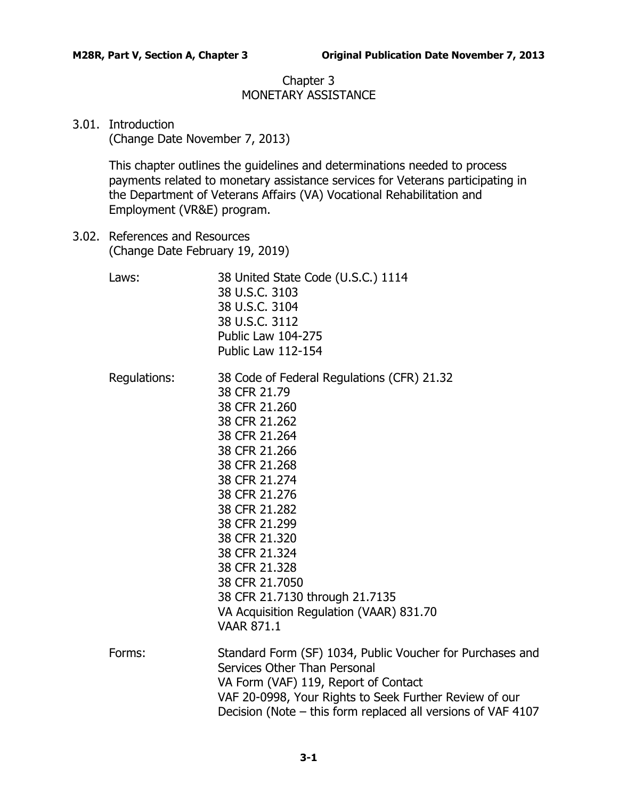## Chapter 3 MONETARY ASSISTANCE

## <span id="page-2-0"></span>3.01. Introduction

(Change Date November 7, 2013)

This chapter outlines the guidelines and determinations needed to process payments related to monetary assistance services for Veterans participating in the Department of Veterans Affairs (VA) Vocational Rehabilitation and Employment (VR&E) program.

<span id="page-2-1"></span>3.02. References and Resources (Change Date February 19, 2019)

| Laws:        | 38 United State Code (U.S.C.) 1114<br>38 U.S.C. 3103<br>38 U.S.C. 3104<br>38 U.S.C. 3112<br>Public Law 104-275<br><b>Public Law 112-154</b>                                                                                                                                                                                                                                                |
|--------------|--------------------------------------------------------------------------------------------------------------------------------------------------------------------------------------------------------------------------------------------------------------------------------------------------------------------------------------------------------------------------------------------|
| Regulations: | 38 Code of Federal Regulations (CFR) 21.32<br>38 CFR 21.79<br>38 CFR 21.260<br>38 CFR 21.262<br>38 CFR 21.264<br>38 CFR 21.266<br>38 CFR 21.268<br>38 CFR 21.274<br>38 CFR 21.276<br>38 CFR 21.282<br>38 CFR 21.299<br>38 CFR 21.320<br>38 CFR 21.324<br>38 CFR 21.328<br>38 CFR 21.7050<br>38 CFR 21.7130 through 21.7135<br>VA Acquisition Regulation (VAAR) 831.70<br><b>VAAR 871.1</b> |
| Forms:       | Standard Form (SF) 1034, Public Voucher for Purchases and<br>Services Other Than Personal<br>VA Form (VAF) 119, Report of Contact<br>VAF 20-0998, Your Rights to Seek Further Review of our<br>Decision (Note – this form replaced all versions of VAF 4107                                                                                                                                |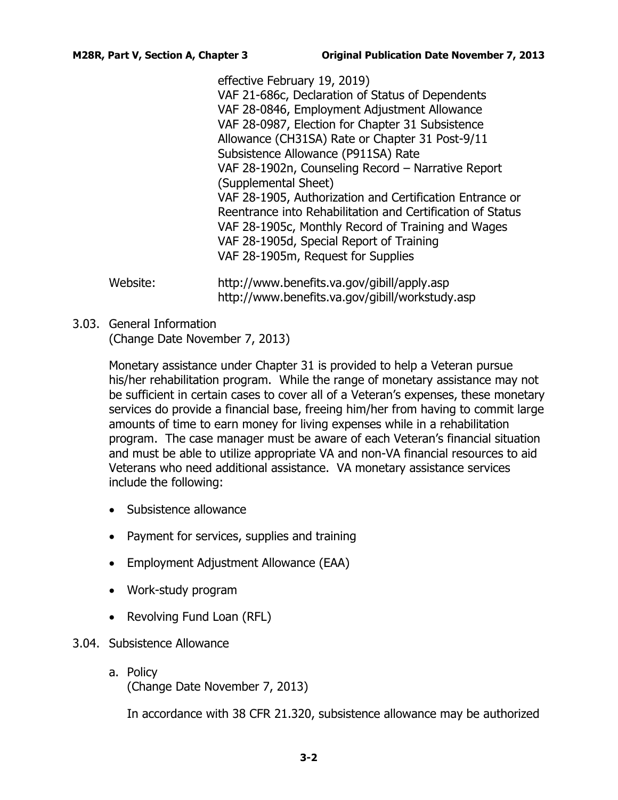effective February 19, 2019) VAF 21-686c, Declaration of Status of Dependents VAF 28-0846, Employment Adjustment Allowance VAF 28-0987, Election for Chapter 31 Subsistence Allowance (CH31SA) Rate or Chapter 31 Post-9/11 Subsistence Allowance (P911SA) Rate VAF 28-1902n, Counseling Record – Narrative Report (Supplemental Sheet) VAF 28-1905, Authorization and Certification Entrance or Reentrance into Rehabilitation and Certification of Status VAF 28-1905c, Monthly Record of Training and Wages VAF 28-1905d, Special Report of Training VAF 28-1905m, Request for Supplies

Website: http://www.benefits.va.gov/gibill/apply.asp http://www.benefits.va.gov/gibill/workstudy.asp

<span id="page-3-0"></span>3.03. General Information

(Change Date November 7, 2013)

Monetary assistance under Chapter 31 is provided to help a Veteran pursue his/her rehabilitation program. While the range of monetary assistance may not be sufficient in certain cases to cover all of a Veteran's expenses, these monetary services do provide a financial base, freeing him/her from having to commit large amounts of time to earn money for living expenses while in a rehabilitation program. The case manager must be aware of each Veteran's financial situation and must be able to utilize appropriate VA and non-VA financial resources to aid Veterans who need additional assistance. VA monetary assistance services include the following:

- Subsistence allowance
- Payment for services, supplies and training
- Employment Adjustment Allowance (EAA)
- Work-study program
- Revolving Fund Loan (RFL)

## <span id="page-3-2"></span><span id="page-3-1"></span>3.04. Subsistence Allowance

a. Policy (Change Date November 7, 2013)

In accordance with 38 CFR 21.320, subsistence allowance may be authorized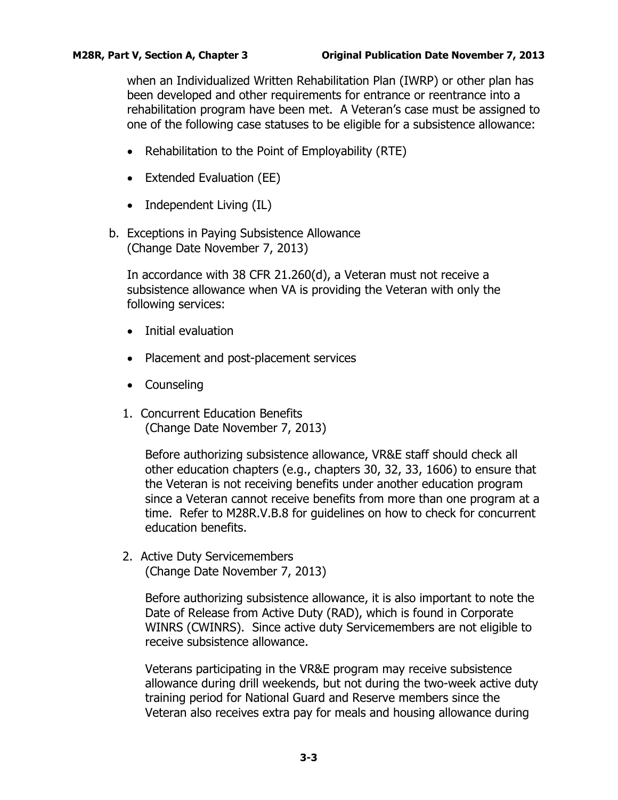when an Individualized Written Rehabilitation Plan (IWRP) or other plan has been developed and other requirements for entrance or reentrance into a rehabilitation program have been met. A Veteran's case must be assigned to one of the following case statuses to be eligible for a subsistence allowance:

- Rehabilitation to the Point of Employability (RTE)
- Extended Evaluation (EE)
- Independent Living (IL)
- <span id="page-4-0"></span>b. Exceptions in Paying Subsistence Allowance (Change Date November 7, 2013)

In accordance with 38 CFR 21.260(d), a Veteran must not receive a subsistence allowance when VA is providing the Veteran with only the following services:

- Initial evaluation
- Placement and post-placement services
- Counseling
- 1. Concurrent Education Benefits (Change Date November 7, 2013)

Before authorizing subsistence allowance, VR&E staff should check all other education chapters (e.g., chapters 30, 32, 33, 1606) to ensure that the Veteran is not receiving benefits under another education program since a Veteran cannot receive benefits from more than one program at a time. Refer to M28R.V.B.8 for guidelines on how to check for concurrent education benefits.

2. Active Duty Servicemembers (Change Date November 7, 2013)

> Before authorizing subsistence allowance, it is also important to note the Date of Release from Active Duty (RAD), which is found in Corporate WINRS (CWINRS). Since active duty Servicemembers are not eligible to receive subsistence allowance.

> Veterans participating in the VR&E program may receive subsistence allowance during drill weekends, but not during the two-week active duty training period for National Guard and Reserve members since the Veteran also receives extra pay for meals and housing allowance during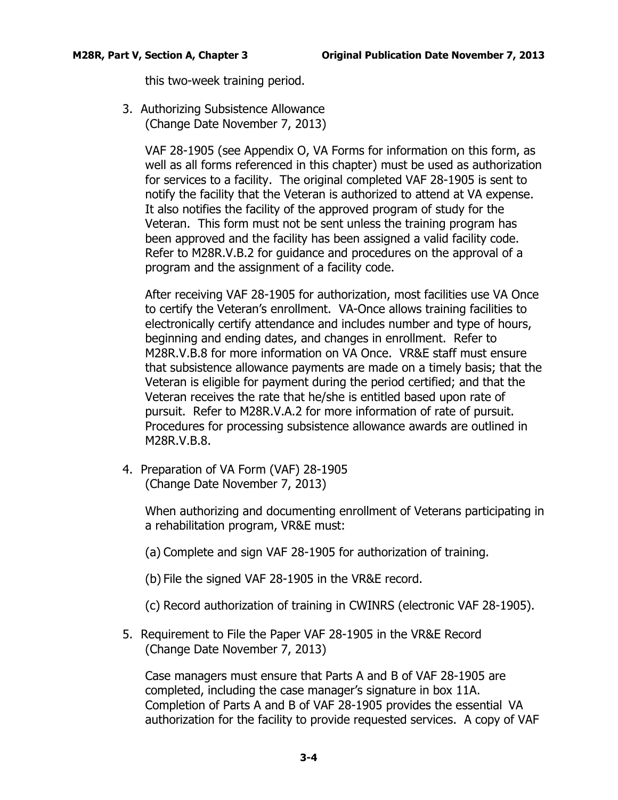this two-week training period.

3. Authorizing Subsistence Allowance (Change Date November 7, 2013)

> VAF 28-1905 (see Appendix O, VA Forms for information on this form, as well as all forms referenced in this chapter) must be used as authorization for services to a facility. The original completed VAF 28-1905 is sent to notify the facility that the Veteran is authorized to attend at VA expense. It also notifies the facility of the approved program of study for the Veteran. This form must not be sent unless the training program has been approved and the facility has been assigned a valid facility code. Refer to M28R.V.B.2 for guidance and procedures on the approval of a program and the assignment of a facility code.

> After receiving VAF 28-1905 for authorization, most facilities use VA Once to certify the Veteran's enrollment. VA-Once allows training facilities to electronically certify attendance and includes number and type of hours, beginning and ending dates, and changes in enrollment. Refer to M28R.V.B.8 for more information on VA Once. VR&E staff must ensure that subsistence allowance payments are made on a timely basis; that the Veteran is eligible for payment during the period certified; and that the Veteran receives the rate that he/she is entitled based upon rate of pursuit. Refer to M28R.V.A.2 for more information of rate of pursuit. Procedures for processing subsistence allowance awards are outlined in M28R.V.B.8.

4. Preparation of VA Form (VAF) 28-1905 (Change Date November 7, 2013)

> When authorizing and documenting enrollment of Veterans participating in a rehabilitation program, VR&E must:

- (a) Complete and sign VAF 28-1905 for authorization of training.
- (b) File the signed VAF 28-1905 in the VR&E record.

(c) Record authorization of training in CWINRS (electronic VAF 28-1905).

5. Requirement to File the Paper VAF 28-1905 in the VR&E Record (Change Date November 7, 2013)

Case managers must ensure that Parts A and B of VAF 28-1905 are completed, including the case manager's signature in box 11A. Completion of Parts A and B of VAF 28-1905 provides the essential VA authorization for the facility to provide requested services. A copy of VAF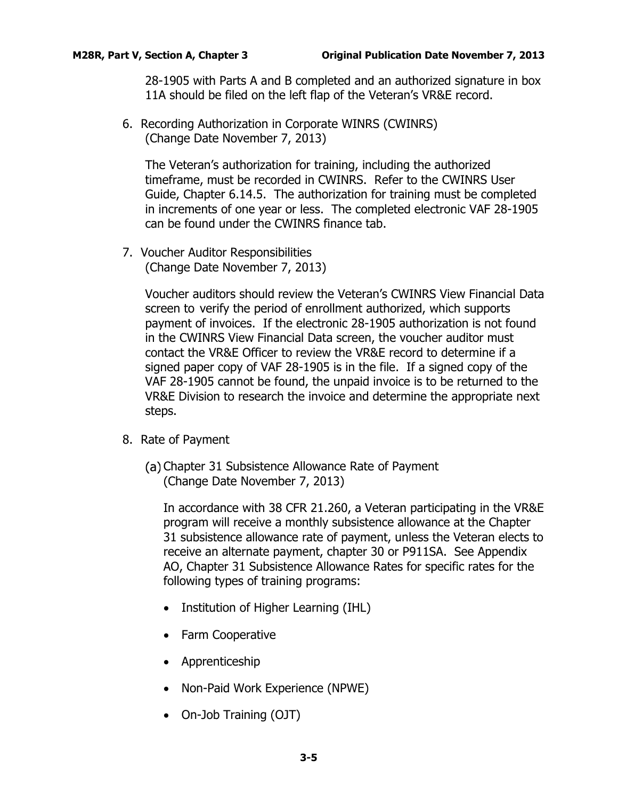28-1905 with Parts A and B completed and an authorized signature in box 11A should be filed on the left flap of the Veteran's VR&E record.

6. Recording Authorization in Corporate WINRS (CWINRS) (Change Date November 7, 2013)

The Veteran's authorization for training, including the authorized timeframe, must be recorded in CWINRS. Refer to the CWINRS User Guide, Chapter 6.14.5. The authorization for training must be completed in increments of one year or less. The completed electronic VAF 28-1905 can be found under the CWINRS finance tab.

7. Voucher Auditor Responsibilities (Change Date November 7, 2013)

> Voucher auditors should review the Veteran's CWINRS View Financial Data screen to verify the period of enrollment authorized, which supports payment of invoices. If the electronic 28-1905 authorization is not found in the CWINRS View Financial Data screen, the voucher auditor must contact the VR&E Officer to review the VR&E record to determine if a signed paper copy of VAF 28-1905 is in the file. If a signed copy of the VAF 28-1905 cannot be found, the unpaid invoice is to be returned to the VR&E Division to research the invoice and determine the appropriate next steps.

- 8. Rate of Payment
	- (a) Chapter 31 Subsistence Allowance Rate of Payment (Change Date November 7, 2013)

In accordance with 38 CFR 21.260, a Veteran participating in the VR&E program will receive a monthly subsistence allowance at the Chapter 31 subsistence allowance rate of payment, unless the Veteran elects to receive an alternate payment, chapter 30 or P911SA. See Appendix AO, Chapter 31 Subsistence Allowance Rates for specific rates for the following types of training programs:

- Institution of Higher Learning (IHL)
- Farm Cooperative
- Apprenticeship
- Non-Paid Work Experience (NPWE)
- On-Job Training (OJT)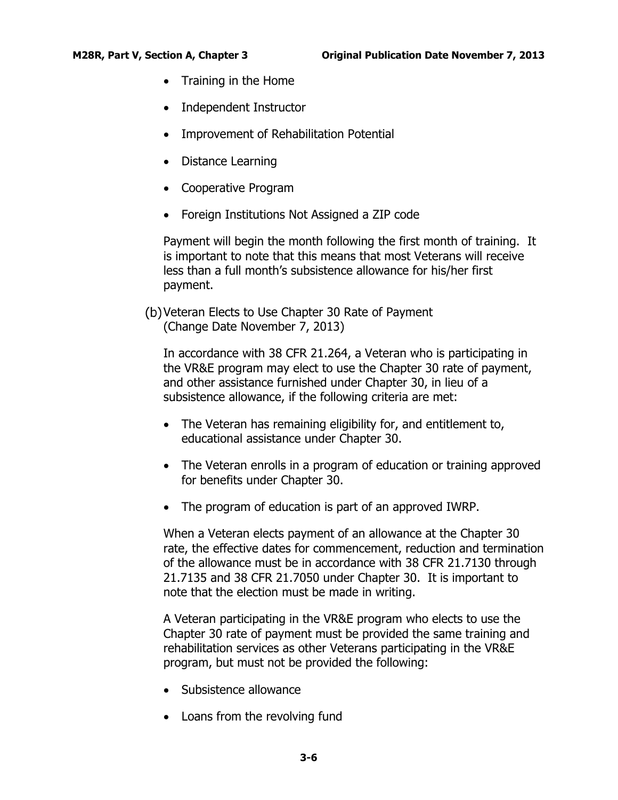- Training in the Home
- Independent Instructor
- Improvement of Rehabilitation Potential
- Distance Learning
- Cooperative Program
- Foreign Institutions Not Assigned a ZIP code

Payment will begin the month following the first month of training. It is important to note that this means that most Veterans will receive less than a full month's subsistence allowance for his/her first payment.

Veteran Elects to Use Chapter 30 Rate of Payment (Change Date November 7, 2013)

In accordance with 38 CFR 21.264, a Veteran who is participating in the VR&E program may elect to use the Chapter 30 rate of payment, and other assistance furnished under Chapter 30, in lieu of a subsistence allowance, if the following criteria are met:

- The Veteran has remaining eligibility for, and entitlement to, educational assistance under Chapter 30.
- The Veteran enrolls in a program of education or training approved for benefits under Chapter 30.
- The program of education is part of an approved IWRP.

When a Veteran elects payment of an allowance at the Chapter 30 rate, the effective dates for commencement, reduction and termination of the allowance must be in accordance with 38 CFR 21.7130 through 21.7135 and 38 CFR 21.7050 under Chapter 30. It is important to note that the election must be made in writing.

A Veteran participating in the VR&E program who elects to use the Chapter 30 rate of payment must be provided the same training and rehabilitation services as other Veterans participating in the VR&E program, but must not be provided the following:

- Subsistence allowance
- Loans from the revolving fund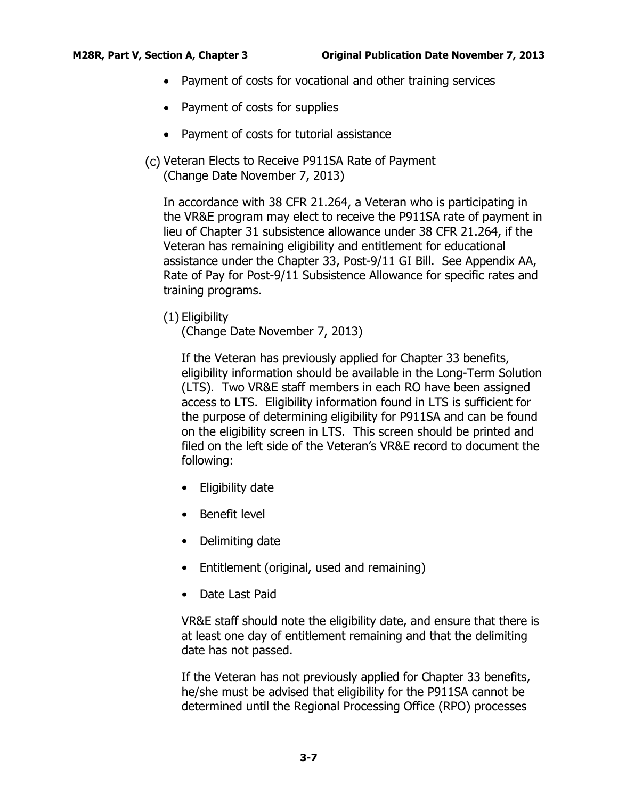- Payment of costs for vocational and other training services
- Payment of costs for supplies
- Payment of costs for tutorial assistance
- (c) Veteran Elects to Receive P911SA Rate of Payment (Change Date November 7, 2013)

In accordance with 38 CFR 21.264, a Veteran who is participating in the VR&E program may elect to receive the P911SA rate of payment in lieu of Chapter 31 subsistence allowance under 38 CFR 21.264, if the Veteran has remaining eligibility and entitlement for educational assistance under the Chapter 33, Post-9/11 GI Bill. See Appendix AA, Rate of Pay for Post-9/11 Subsistence Allowance for specific rates and training programs.

(1) Eligibility

(Change Date November 7, 2013)

If the Veteran has previously applied for Chapter 33 benefits, eligibility information should be available in the Long-Term Solution (LTS). Two VR&E staff members in each RO have been assigned access to LTS. Eligibility information found in LTS is sufficient for the purpose of determining eligibility for P911SA and can be found on the eligibility screen in LTS. This screen should be printed and filed on the left side of the Veteran's VR&E record to document the following:

- Eligibility date
- Benefit level
- Delimiting date
- Entitlement (original, used and remaining)
- Date Last Paid

VR&E staff should note the eligibility date, and ensure that there is at least one day of entitlement remaining and that the delimiting date has not passed.

If the Veteran has not previously applied for Chapter 33 benefits, he/she must be advised that eligibility for the P911SA cannot be determined until the Regional Processing Office (RPO) processes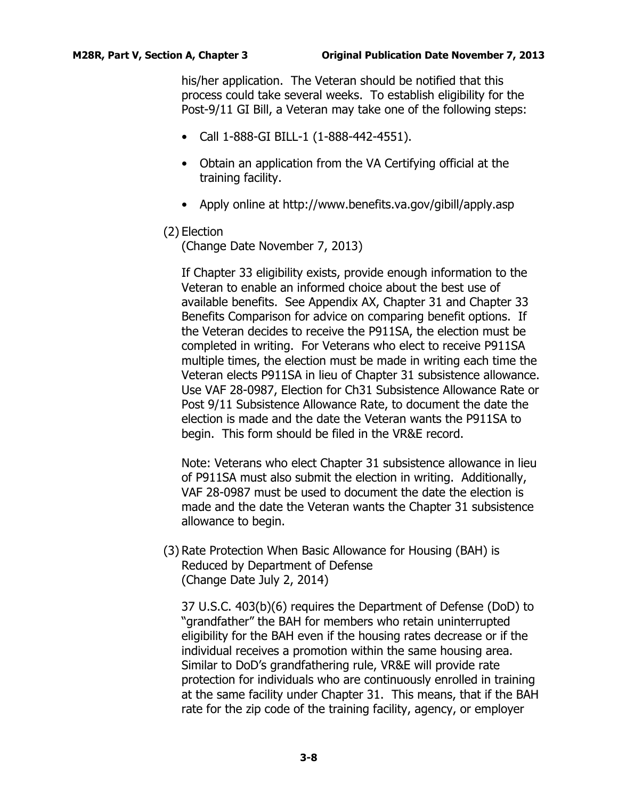his/her application. The Veteran should be notified that this process could take several weeks. To establish eligibility for the Post-9/11 GI Bill, a Veteran may take one of the following steps:

- Call 1-888-GI BILL-1 (1-888-442-4551).
- Obtain an application from the VA Certifying official at the training facility.
- Apply online at http://www.benefits.va.gov/gibill/apply.asp

## (2) Election

(Change Date November 7, 2013)

If Chapter 33 eligibility exists, provide enough information to the Veteran to enable an informed choice about the best use of available benefits. See Appendix AX, Chapter 31 and Chapter 33 Benefits Comparison for advice on comparing benefit options. If the Veteran decides to receive the P911SA, the election must be completed in writing. For Veterans who elect to receive P911SA multiple times, the election must be made in writing each time the Veteran elects P911SA in lieu of Chapter 31 subsistence allowance. Use VAF 28-0987, Election for Ch31 Subsistence Allowance Rate or Post 9/11 Subsistence Allowance Rate, to document the date the election is made and the date the Veteran wants the P911SA to begin. This form should be filed in the VR&E record.

Note: Veterans who elect Chapter 31 subsistence allowance in lieu of P911SA must also submit the election in writing. Additionally, VAF 28-0987 must be used to document the date the election is made and the date the Veteran wants the Chapter 31 subsistence allowance to begin.

(3) Rate Protection When Basic Allowance for Housing (BAH) is Reduced by Department of Defense (Change Date July 2, 2014)

37 U.S.C. 403(b)(6) requires the Department of Defense (DoD) to "grandfather" the BAH for members who retain uninterrupted eligibility for the BAH even if the housing rates decrease or if the individual receives a promotion within the same housing area. Similar to DoD's grandfathering rule, VR&E will provide rate protection for individuals who are continuously enrolled in training at the same facility under Chapter 31. This means, that if the BAH rate for the zip code of the training facility, agency, or employer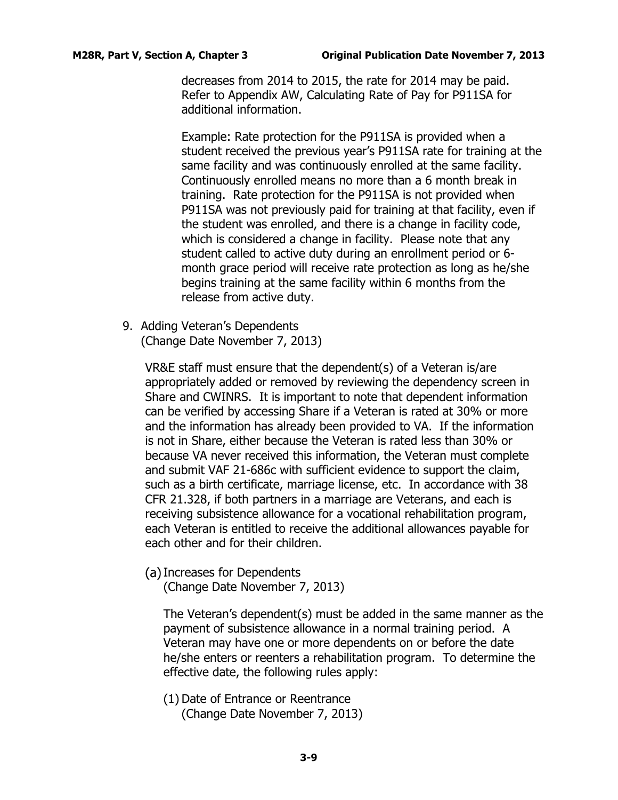decreases from 2014 to 2015, the rate for 2014 may be paid. Refer to Appendix AW, Calculating Rate of Pay for P911SA for additional information.

Example: Rate protection for the P911SA is provided when a student received the previous year's P911SA rate for training at the same facility and was continuously enrolled at the same facility. Continuously enrolled means no more than a 6 month break in training. Rate protection for the P911SA is not provided when P911SA was not previously paid for training at that facility, even if the student was enrolled, and there is a change in facility code, which is considered a change in facility. Please note that any student called to active duty during an enrollment period or 6 month grace period will receive rate protection as long as he/she begins training at the same facility within 6 months from the release from active duty.

9. Adding Veteran's Dependents (Change Date November 7, 2013)

> VR&E staff must ensure that the dependent(s) of a Veteran is/are appropriately added or removed by reviewing the dependency screen in Share and CWINRS. It is important to note that dependent information can be verified by accessing Share if a Veteran is rated at 30% or more and the information has already been provided to VA. If the information is not in Share, either because the Veteran is rated less than 30% or because VA never received this information, the Veteran must complete and submit VAF 21-686c with sufficient evidence to support the claim, such as a birth certificate, marriage license, etc. In accordance with 38 CFR 21.328, if both partners in a marriage are Veterans, and each is receiving subsistence allowance for a vocational rehabilitation program, each Veteran is entitled to receive the additional allowances payable for each other and for their children.

(a) Increases for Dependents

(Change Date November 7, 2013)

The Veteran's dependent(s) must be added in the same manner as the payment of subsistence allowance in a normal training period. A Veteran may have one or more dependents on or before the date he/she enters or reenters a rehabilitation program. To determine the effective date, the following rules apply:

(1) Date of Entrance or Reentrance (Change Date November 7, 2013)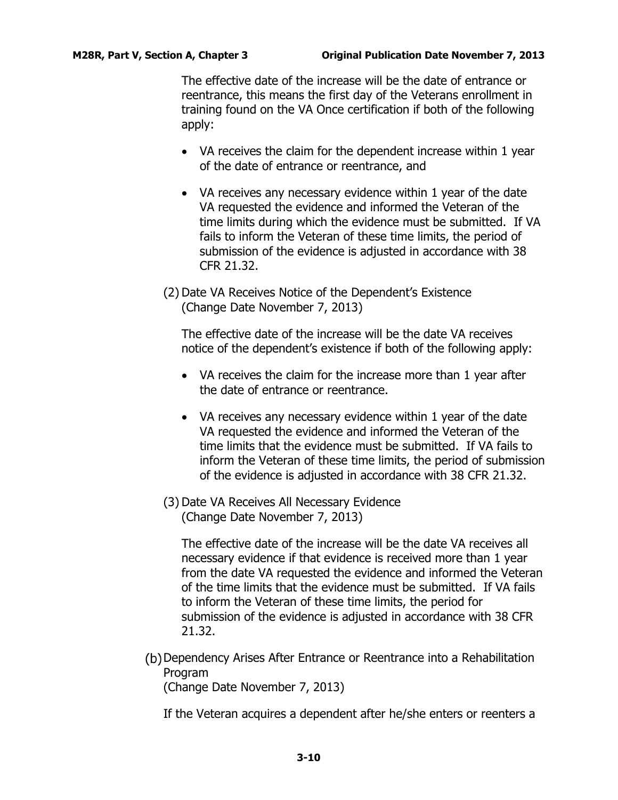The effective date of the increase will be the date of entrance or reentrance, this means the first day of the Veterans enrollment in training found on the VA Once certification if both of the following apply:

- VA receives the claim for the dependent increase within 1 year of the date of entrance or reentrance, and
- VA receives any necessary evidence within 1 year of the date VA requested the evidence and informed the Veteran of the time limits during which the evidence must be submitted. If VA fails to inform the Veteran of these time limits, the period of submission of the evidence is adjusted in accordance with 38 CFR 21.32.
- (2) Date VA Receives Notice of the Dependent's Existence (Change Date November 7, 2013)

The effective date of the increase will be the date VA receives notice of the dependent's existence if both of the following apply:

- VA receives the claim for the increase more than 1 year after the date of entrance or reentrance.
- VA receives any necessary evidence within 1 year of the date VA requested the evidence and informed the Veteran of the time limits that the evidence must be submitted. If VA fails to inform the Veteran of these time limits, the period of submission of the evidence is adjusted in accordance with 38 CFR 21.32.
- (3) Date VA Receives All Necessary Evidence (Change Date November 7, 2013)

The effective date of the increase will be the date VA receives all necessary evidence if that evidence is received more than 1 year from the date VA requested the evidence and informed the Veteran of the time limits that the evidence must be submitted. If VA fails to inform the Veteran of these time limits, the period for submission of the evidence is adjusted in accordance with 38 CFR 21.32.

(b) Dependency Arises After Entrance or Reentrance into a Rehabilitation Program

(Change Date November 7, 2013)

If the Veteran acquires a dependent after he/she enters or reenters a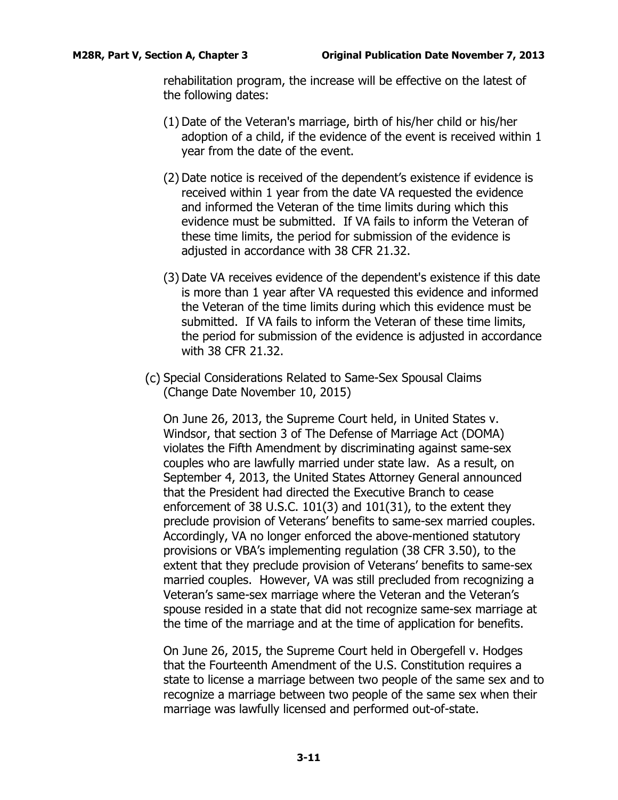rehabilitation program, the increase will be effective on the latest of the following dates:

- (1) Date of the Veteran's marriage, birth of his/her child or his/her adoption of a child, if the evidence of the event is received within 1 year from the date of the event.
- (2) Date notice is received of the dependent's existence if evidence is received within 1 year from the date VA requested the evidence and informed the Veteran of the time limits during which this evidence must be submitted. If VA fails to inform the Veteran of these time limits, the period for submission of the evidence is adjusted in accordance with 38 CFR 21.32.
- (3) Date VA receives evidence of the dependent's existence if this date is more than 1 year after VA requested this evidence and informed the Veteran of the time limits during which this evidence must be submitted. If VA fails to inform the Veteran of these time limits, the period for submission of the evidence is adjusted in accordance with 38 CFR 21.32.
- (c) Special Considerations Related to Same-Sex Spousal Claims (Change Date November 10, 2015)

On June 26, 2013, the Supreme Court held, in United States v. Windsor, that section 3 of The Defense of Marriage Act (DOMA) violates the Fifth Amendment by discriminating against same-sex couples who are lawfully married under state law. As a result, on September 4, 2013, the United States Attorney General announced that the President had directed the Executive Branch to cease enforcement of 38 U.S.C. 101(3) and 101(31), to the extent they preclude provision of Veterans' benefits to same-sex married couples. Accordingly, VA no longer enforced the above-mentioned statutory provisions or VBA's implementing regulation (38 CFR 3.50), to the extent that they preclude provision of Veterans' benefits to same-sex married couples. However, VA was still precluded from recognizing a Veteran's same-sex marriage where the Veteran and the Veteran's spouse resided in a state that did not recognize same-sex marriage at the time of the marriage and at the time of application for benefits.

On June 26, 2015, the Supreme Court held in Obergefell v. Hodges that the Fourteenth Amendment of the U.S. Constitution requires a state to license a marriage between two people of the same sex and to recognize a marriage between two people of the same sex when their marriage was lawfully licensed and performed out-of-state.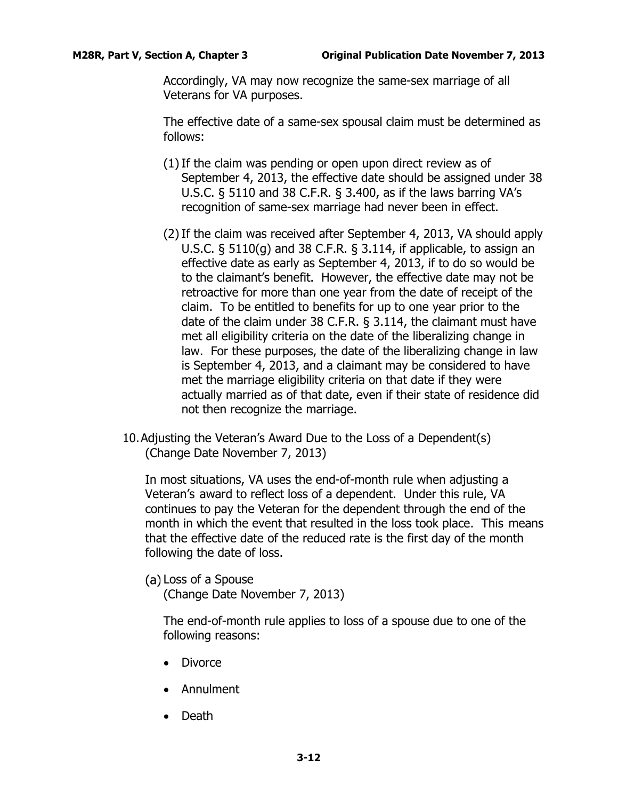Accordingly, VA may now recognize the same-sex marriage of all Veterans for VA purposes.

The effective date of a same-sex spousal claim must be determined as follows:

- (1)If the claim was pending or open upon direct review as of September 4, 2013, the effective date should be assigned under 38 U.S.C. § 5110 and 38 C.F.R. § 3.400, as if the laws barring VA's recognition of same-sex marriage had never been in effect.
- (2)If the claim was received after September 4, 2013, VA should apply U.S.C. § 5110(g) and 38 C.F.R. § 3.114, if applicable, to assign an effective date as early as September 4, 2013, if to do so would be to the claimant's benefit. However, the effective date may not be retroactive for more than one year from the date of receipt of the claim. To be entitled to benefits for up to one year prior to the date of the claim under 38 C.F.R. § 3.114, the claimant must have met all eligibility criteria on the date of the liberalizing change in law. For these purposes, the date of the liberalizing change in law is September 4, 2013, and a claimant may be considered to have met the marriage eligibility criteria on that date if they were actually married as of that date, even if their state of residence did not then recognize the marriage.
- 10.Adjusting the Veteran's Award Due to the Loss of a Dependent(s) (Change Date November 7, 2013)

In most situations, VA uses the end-of-month rule when adjusting a Veteran's award to reflect loss of a dependent. Under this rule, VA continues to pay the Veteran for the dependent through the end of the month in which the event that resulted in the loss took place. This means that the effective date of the reduced rate is the first day of the month following the date of loss.

Loss of a Spouse

(Change Date November 7, 2013)

The end-of-month rule applies to loss of a spouse due to one of the following reasons:

- Divorce
- Annulment
- Death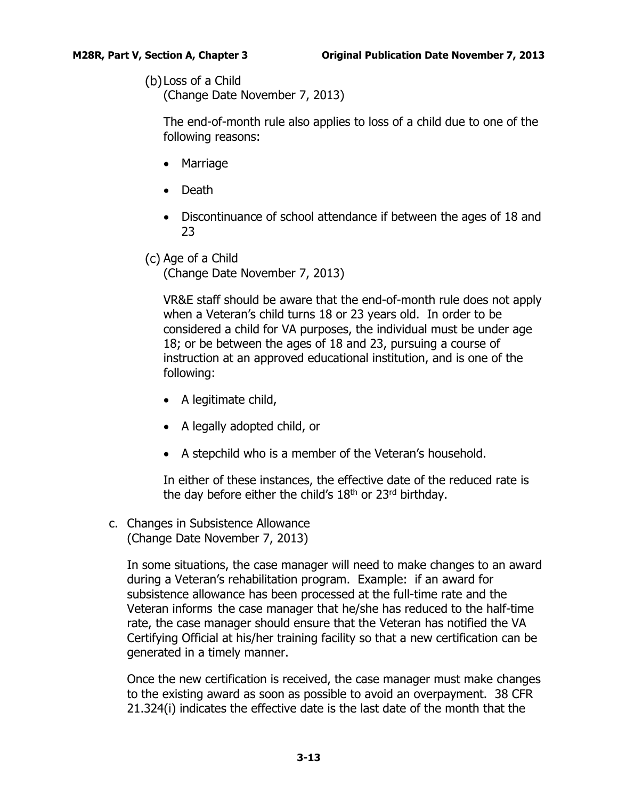# Loss of a Child

(Change Date November 7, 2013)

The end-of-month rule also applies to loss of a child due to one of the following reasons:

- Marriage
- Death
- Discontinuance of school attendance if between the ages of 18 and 23
- (c) Age of a Child

(Change Date November 7, 2013)

VR&E staff should be aware that the end-of-month rule does not apply when a Veteran's child turns 18 or 23 years old. In order to be considered a child for VA purposes, the individual must be under age 18; or be between the ages of 18 and 23, pursuing a course of instruction at an approved educational institution, and is one of the following:

- A legitimate child,
- A legally adopted child, or
- A stepchild who is a member of the Veteran's household.

In either of these instances, the effective date of the reduced rate is the day before either the child's  $18<sup>th</sup>$  or  $23<sup>rd</sup>$  birthday.

<span id="page-14-0"></span>c. Changes in Subsistence Allowance (Change Date November 7, 2013)

In some situations, the case manager will need to make changes to an award during a Veteran's rehabilitation program. Example: if an award for subsistence allowance has been processed at the full-time rate and the Veteran informs the case manager that he/she has reduced to the half-time rate, the case manager should ensure that the Veteran has notified the VA Certifying Official at his/her training facility so that a new certification can be generated in a timely manner.

Once the new certification is received, the case manager must make changes to the existing award as soon as possible to avoid an overpayment. 38 CFR 21.324(i) indicates the effective date is the last date of the month that the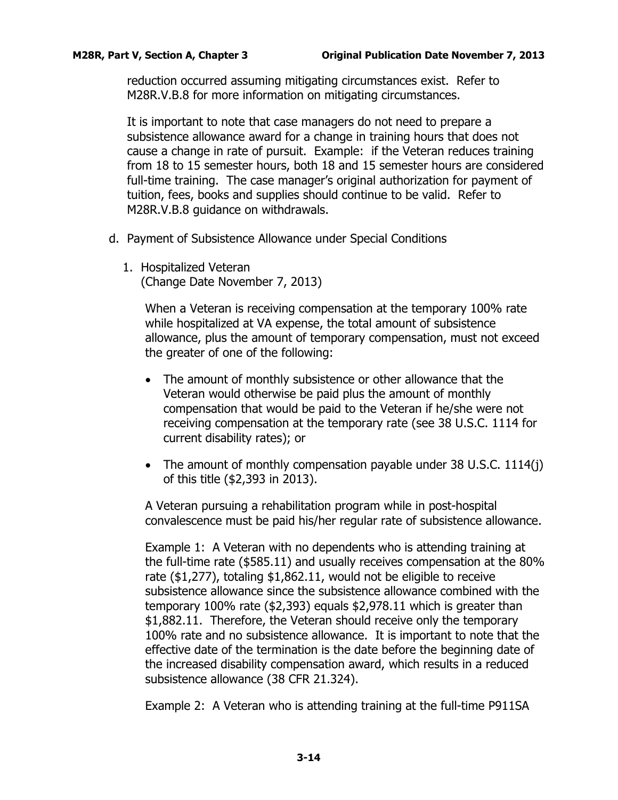reduction occurred assuming mitigating circumstances exist. Refer to M28R.V.B.8 for more information on mitigating circumstances.

It is important to note that case managers do not need to prepare a subsistence allowance award for a change in training hours that does not cause a change in rate of pursuit. Example: if the Veteran reduces training from 18 to 15 semester hours, both 18 and 15 semester hours are considered full-time training. The case manager's original authorization for payment of tuition, fees, books and supplies should continue to be valid. Refer to M28R.V.B.8 guidance on withdrawals.

- <span id="page-15-0"></span>d. Payment of Subsistence Allowance under Special Conditions
	- 1. Hospitalized Veteran (Change Date November 7, 2013)

When a Veteran is receiving compensation at the temporary 100% rate while hospitalized at VA expense, the total amount of subsistence allowance, plus the amount of temporary compensation, must not exceed the greater of one of the following:

- The amount of monthly subsistence or other allowance that the Veteran would otherwise be paid plus the amount of monthly compensation that would be paid to the Veteran if he/she were not receiving compensation at the temporary rate (see 38 U.S.C. 1114 for current disability rates); or
- The amount of monthly compensation payable under 38 U.S.C. 1114(j) of this title (\$2,393 in 2013).

A Veteran pursuing a rehabilitation program while in post-hospital convalescence must be paid his/her regular rate of subsistence allowance.

Example 1: A Veteran with no dependents who is attending training at the full-time rate (\$585.11) and usually receives compensation at the 80% rate (\$1,277), totaling \$1,862.11, would not be eligible to receive subsistence allowance since the subsistence allowance combined with the temporary 100% rate (\$2,393) equals \$2,978.11 which is greater than \$1,882.11. Therefore, the Veteran should receive only the temporary 100% rate and no subsistence allowance. It is important to note that the effective date of the termination is the date before the beginning date of the increased disability compensation award, which results in a reduced subsistence allowance (38 CFR 21.324).

Example 2: A Veteran who is attending training at the full-time P911SA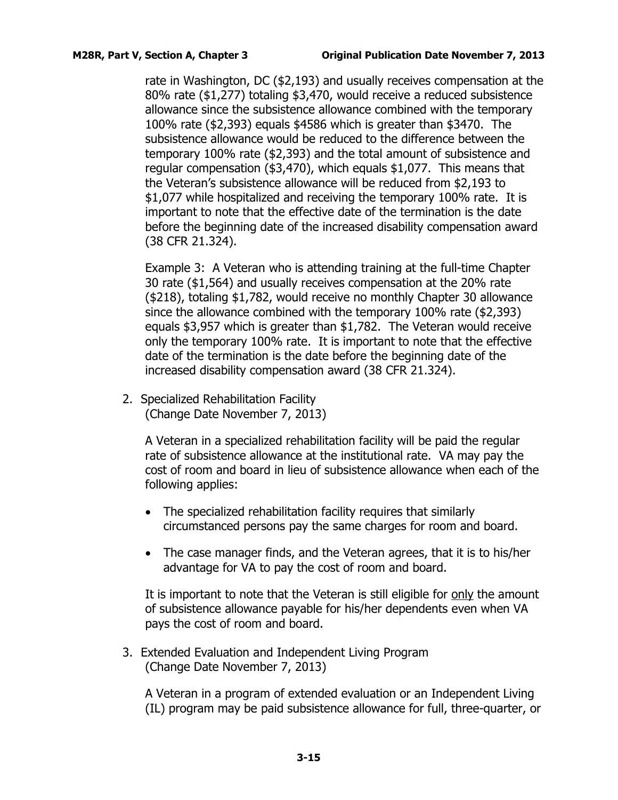rate in Washington, DC (\$2,193) and usually receives compensation at the 80% rate (\$1,277) totaling \$3,470, would receive a reduced subsistence allowance since the subsistence allowance combined with the temporary 100% rate (\$2,393) equals \$4586 which is greater than \$3470. The subsistence allowance would be reduced to the difference between the temporary 100% rate (\$2,393) and the total amount of subsistence and regular compensation (\$3,470), which equals \$1,077. This means that the Veteran's subsistence allowance will be reduced from \$2,193 to \$1,077 while hospitalized and receiving the temporary 100% rate. It is important to note that the effective date of the termination is the date before the beginning date of the increased disability compensation award (38 CFR 21.324).

Example 3: A Veteran who is attending training at the full-time Chapter 30 rate (\$1,564) and usually receives compensation at the 20% rate (\$218), totaling \$1,782, would receive no monthly Chapter 30 allowance since the allowance combined with the temporary 100% rate (\$2,393) equals \$3,957 which is greater than \$1,782. The Veteran would receive only the temporary 100% rate. It is important to note that the effective date of the termination is the date before the beginning date of the increased disability compensation award (38 CFR 21.324).

2. Specialized Rehabilitation Facility (Change Date November 7, 2013)

> A Veteran in a specialized rehabilitation facility will be paid the regular rate of subsistence allowance at the institutional rate. VA may pay the cost of room and board in lieu of subsistence allowance when each of the following applies:

- The specialized rehabilitation facility requires that similarly circumstanced persons pay the same charges for room and board.
- The case manager finds, and the Veteran agrees, that it is to his/her advantage for VA to pay the cost of room and board.

It is important to note that the Veteran is still eligible for only the amount of subsistence allowance payable for his/her dependents even when VA pays the cost of room and board.

3. Extended Evaluation and Independent Living Program (Change Date November 7, 2013)

A Veteran in a program of extended evaluation or an Independent Living (IL) program may be paid subsistence allowance for full, three-quarter, or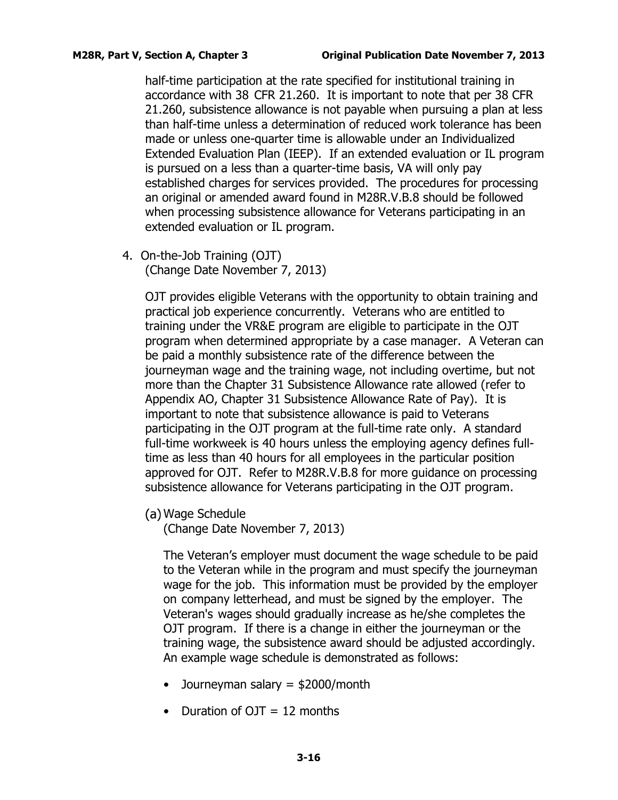half-time participation at the rate specified for institutional training in accordance with 38 CFR 21.260. It is important to note that per 38 CFR 21.260, subsistence allowance is not payable when pursuing a plan at less than half-time unless a determination of reduced work tolerance has been made or unless one-quarter time is allowable under an Individualized Extended Evaluation Plan (IEEP). If an extended evaluation or IL program is pursued on a less than a quarter-time basis, VA will only pay established charges for services provided. The procedures for processing an original or amended award found in M28R.V.B.8 should be followed when processing subsistence allowance for Veterans participating in an extended evaluation or IL program.

4. On-the-Job Training (OJT) (Change Date November 7, 2013)

> OJT provides eligible Veterans with the opportunity to obtain training and practical job experience concurrently. Veterans who are entitled to training under the VR&E program are eligible to participate in the OJT program when determined appropriate by a case manager. A Veteran can be paid a monthly subsistence rate of the difference between the journeyman wage and the training wage, not including overtime, but not more than the Chapter 31 Subsistence Allowance rate allowed (refer to Appendix AO, Chapter 31 Subsistence Allowance Rate of Pay). It is important to note that subsistence allowance is paid to Veterans participating in the OJT program at the full-time rate only. A standard full-time workweek is 40 hours unless the employing agency defines fulltime as less than 40 hours for all employees in the particular position approved for OJT. Refer to M28R.V.B.8 for more guidance on processing subsistence allowance for Veterans participating in the OJT program.

Wage Schedule

(Change Date November 7, 2013)

The Veteran's employer must document the wage schedule to be paid to the Veteran while in the program and must specify the journeyman wage for the job. This information must be provided by the employer on company letterhead, and must be signed by the employer. The Veteran's wages should gradually increase as he/she completes the OJT program. If there is a change in either the journeyman or the training wage, the subsistence award should be adjusted accordingly. An example wage schedule is demonstrated as follows:

- Journeyman salary = \$2000/month
- Duration of  $OJT = 12$  months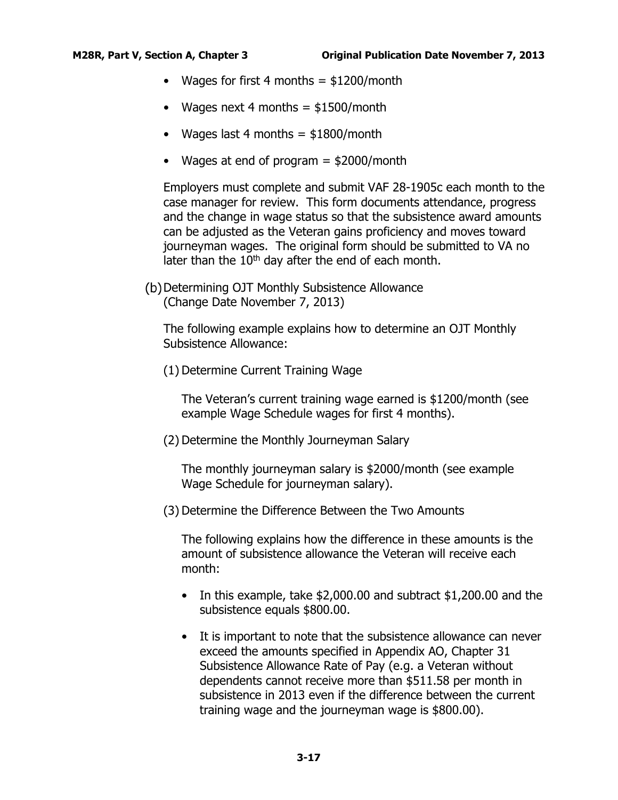- Wages for first 4 months  $=$  \$1200/month
- Wages next 4 months  $=$  \$1500/month
- Wages last 4 months  $=$  \$1800/month
- Wages at end of program = \$2000/month

Employers must complete and submit VAF 28-1905c each month to the case manager for review. This form documents attendance, progress and the change in wage status so that the subsistence award amounts can be adjusted as the Veteran gains proficiency and moves toward journeyman wages. The original form should be submitted to VA no later than the  $10<sup>th</sup>$  day after the end of each month.

(b) Determining OJT Monthly Subsistence Allowance (Change Date November 7, 2013)

The following example explains how to determine an OJT Monthly Subsistence Allowance:

(1) Determine Current Training Wage

The Veteran's current training wage earned is \$1200/month (see example Wage Schedule wages for first 4 months).

(2) Determine the Monthly Journeyman Salary

The monthly journeyman salary is \$2000/month (see example Wage Schedule for journeyman salary).

(3) Determine the Difference Between the Two Amounts

The following explains how the difference in these amounts is the amount of subsistence allowance the Veteran will receive each month:

- In this example, take \$2,000.00 and subtract \$1,200.00 and the subsistence equals \$800.00.
- It is important to note that the subsistence allowance can never exceed the amounts specified in Appendix AO, Chapter 31 Subsistence Allowance Rate of Pay (e.g. a Veteran without dependents cannot receive more than \$511.58 per month in subsistence in 2013 even if the difference between the current training wage and the journeyman wage is \$800.00).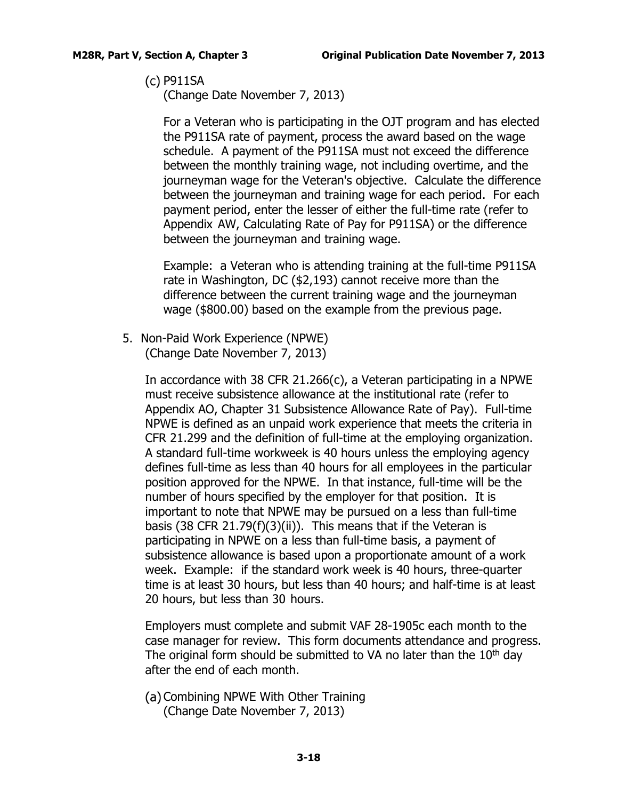P911SA

(Change Date November 7, 2013)

For a Veteran who is participating in the OJT program and has elected the P911SA rate of payment, process the award based on the wage schedule. A payment of the P911SA must not exceed the difference between the monthly training wage, not including overtime, and the journeyman wage for the Veteran's objective. Calculate the difference between the journeyman and training wage for each period. For each payment period, enter the lesser of either the full-time rate (refer to Appendix AW, Calculating Rate of Pay for P911SA) or the difference between the journeyman and training wage.

Example: a Veteran who is attending training at the full-time P911SA rate in Washington, DC (\$2,193) cannot receive more than the difference between the current training wage and the journeyman wage (\$800.00) based on the example from the previous page.

5. Non-Paid Work Experience (NPWE) (Change Date November 7, 2013)

> In accordance with 38 CFR 21.266(c), a Veteran participating in a NPWE must receive subsistence allowance at the institutional rate (refer to Appendix AO, Chapter 31 Subsistence Allowance Rate of Pay). Full-time NPWE is defined as an unpaid work experience that meets the criteria in CFR 21.299 and the definition of full-time at the employing organization. A standard full-time workweek is 40 hours unless the employing agency defines full-time as less than 40 hours for all employees in the particular position approved for the NPWE. In that instance, full-time will be the number of hours specified by the employer for that position. It is important to note that NPWE may be pursued on a less than full-time basis (38 CFR 21.79(f)(3)(ii)). This means that if the Veteran is participating in NPWE on a less than full-time basis, a payment of subsistence allowance is based upon a proportionate amount of a work week. Example: if the standard work week is 40 hours, three-quarter time is at least 30 hours, but less than 40 hours; and half-time is at least 20 hours, but less than 30 hours.

Employers must complete and submit VAF 28-1905c each month to the case manager for review. This form documents attendance and progress. The original form should be submitted to VA no later than the  $10<sup>th</sup>$  day after the end of each month.

(a) Combining NPWE With Other Training (Change Date November 7, 2013)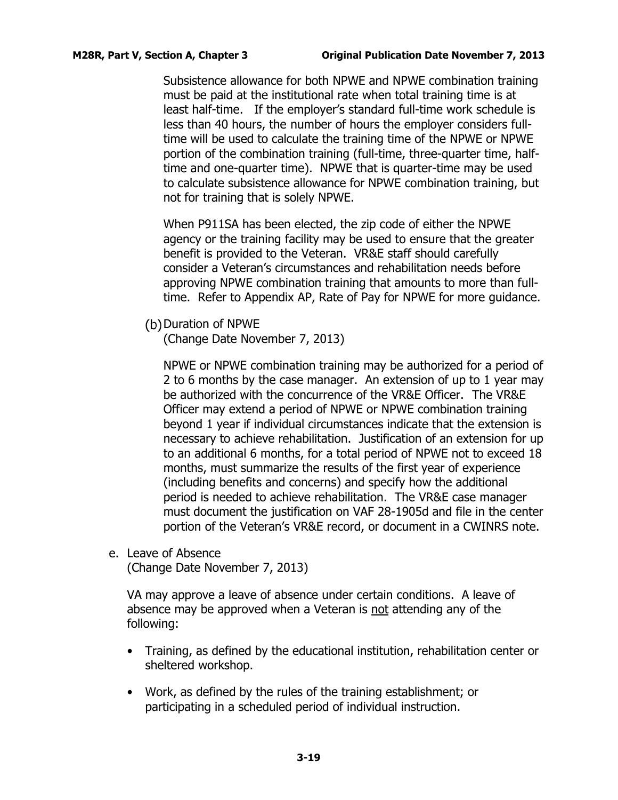Subsistence allowance for both NPWE and NPWE combination training must be paid at the institutional rate when total training time is at least half-time. If the employer's standard full-time work schedule is less than 40 hours, the number of hours the employer considers fulltime will be used to calculate the training time of the NPWE or NPWE portion of the combination training (full-time, three-quarter time, halftime and one-quarter time). NPWE that is quarter-time may be used to calculate subsistence allowance for NPWE combination training, but not for training that is solely NPWE.

When P911SA has been elected, the zip code of either the NPWE agency or the training facility may be used to ensure that the greater benefit is provided to the Veteran. VR&E staff should carefully consider a Veteran's circumstances and rehabilitation needs before approving NPWE combination training that amounts to more than fulltime. Refer to Appendix AP, Rate of Pay for NPWE for more guidance.

(b) Duration of NPWE

(Change Date November 7, 2013)

NPWE or NPWE combination training may be authorized for a period of 2 to 6 months by the case manager. An extension of up to 1 year may be authorized with the concurrence of the VR&E Officer. The VR&E Officer may extend a period of NPWE or NPWE combination training beyond 1 year if individual circumstances indicate that the extension is necessary to achieve rehabilitation. Justification of an extension for up to an additional 6 months, for a total period of NPWE not to exceed 18 months, must summarize the results of the first year of experience (including benefits and concerns) and specify how the additional period is needed to achieve rehabilitation. The VR&E case manager must document the justification on VAF 28-1905d and file in the center portion of the Veteran's VR&E record, or document in a CWINRS note.

<span id="page-20-0"></span>e. Leave of Absence (Change Date November 7, 2013)

VA may approve a leave of absence under certain conditions. A leave of absence may be approved when a Veteran is not attending any of the following:

- Training, as defined by the educational institution, rehabilitation center or sheltered workshop.
- Work, as defined by the rules of the training establishment; or participating in a scheduled period of individual instruction.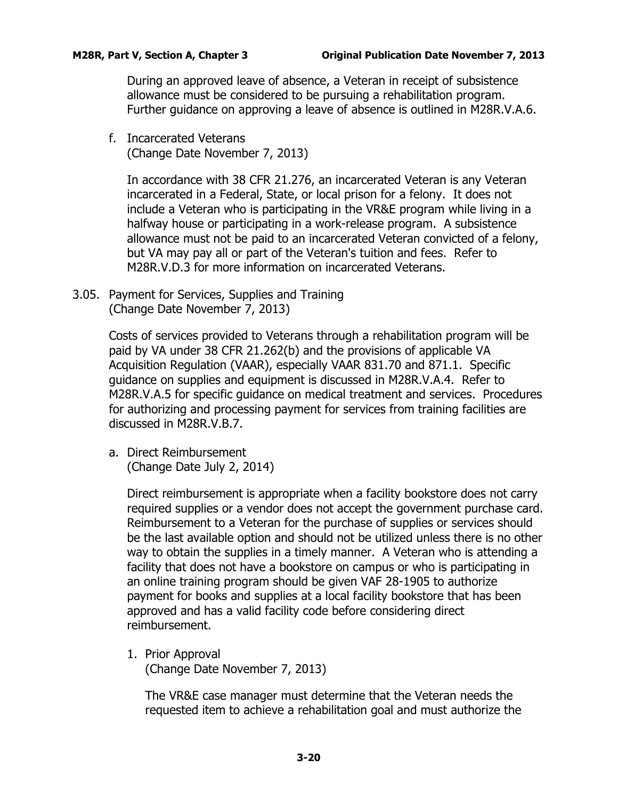During an approved leave of absence, a Veteran in receipt of subsistence allowance must be considered to be pursuing a rehabilitation program. Further guidance on approving a leave of absence is outlined in M28R.V.A.6.

<span id="page-21-0"></span>f. Incarcerated Veterans (Change Date November 7, 2013)

In accordance with 38 CFR 21.276, an incarcerated Veteran is any Veteran incarcerated in a Federal, State, or local prison for a felony. It does not include a Veteran who is participating in the VR&E program while living in a halfway house or participating in a work-release program. A subsistence allowance must not be paid to an incarcerated Veteran convicted of a felony, but VA may pay all or part of the Veteran's tuition and fees. Refer to M28R.V.D.3 for more information on incarcerated Veterans.

<span id="page-21-1"></span>3.05. Payment for Services, Supplies and Training (Change Date November 7, 2013)

> Costs of services provided to Veterans through a rehabilitation program will be paid by VA under 38 CFR 21.262(b) and the provisions of applicable VA Acquisition Regulation (VAAR), especially VAAR 831.70 and 871.1. Specific guidance on supplies and equipment is discussed in M28R.V.A.4. Refer to M28R.V.A.5 for specific guidance on medical treatment and services. Procedures for authorizing and processing payment for services from training facilities are discussed in M28R.V.B.7.

<span id="page-21-2"></span>a. Direct Reimbursement (Change Date July 2, 2014)

> Direct reimbursement is appropriate when a facility bookstore does not carry required supplies or a vendor does not accept the government purchase card. Reimbursement to a Veteran for the purchase of supplies or services should be the last available option and should not be utilized unless there is no other way to obtain the supplies in a timely manner. A Veteran who is attending a facility that does not have a bookstore on campus or who is participating in an online training program should be given VAF 28-1905 to authorize payment for books and supplies at a local facility bookstore that has been approved and has a valid facility code before considering direct reimbursement.

1. Prior Approval (Change Date November 7, 2013)

The VR&E case manager must determine that the Veteran needs the requested item to achieve a rehabilitation goal and must authorize the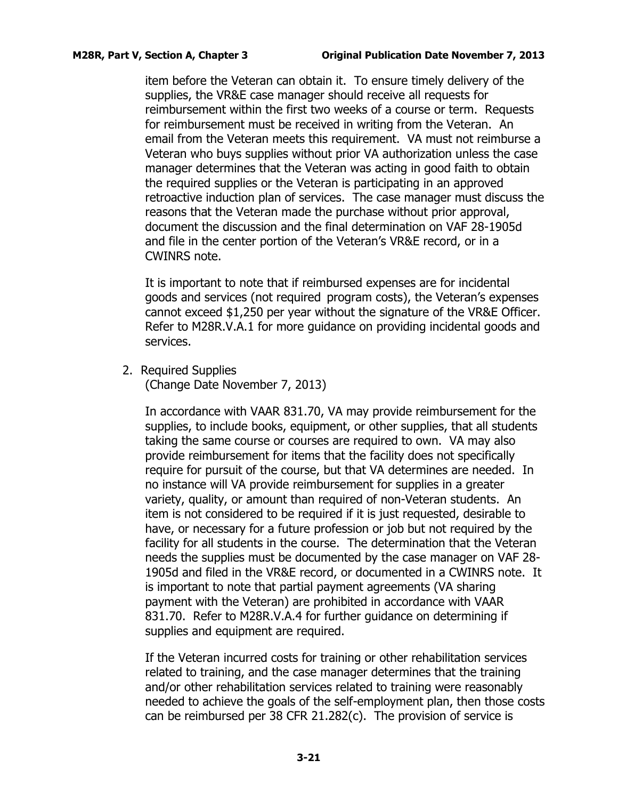item before the Veteran can obtain it. To ensure timely delivery of the supplies, the VR&E case manager should receive all requests for reimbursement within the first two weeks of a course or term. Requests for reimbursement must be received in writing from the Veteran. An email from the Veteran meets this requirement. VA must not reimburse a Veteran who buys supplies without prior VA authorization unless the case manager determines that the Veteran was acting in good faith to obtain the required supplies or the Veteran is participating in an approved retroactive induction plan of services. The case manager must discuss the reasons that the Veteran made the purchase without prior approval, document the discussion and the final determination on VAF 28-1905d and file in the center portion of the Veteran's VR&E record, or in a CWINRS note.

It is important to note that if reimbursed expenses are for incidental goods and services (not required program costs), the Veteran's expenses cannot exceed \$1,250 per year without the signature of the VR&E Officer. Refer to M28R.V.A.1 for more guidance on providing incidental goods and services.

2. Required Supplies

(Change Date November 7, 2013)

In accordance with VAAR 831.70, VA may provide reimbursement for the supplies, to include books, equipment, or other supplies, that all students taking the same course or courses are required to own. VA may also provide reimbursement for items that the facility does not specifically require for pursuit of the course, but that VA determines are needed. In no instance will VA provide reimbursement for supplies in a greater variety, quality, or amount than required of non-Veteran students. An item is not considered to be required if it is just requested, desirable to have, or necessary for a future profession or job but not required by the facility for all students in the course. The determination that the Veteran needs the supplies must be documented by the case manager on VAF 28- 1905d and filed in the VR&E record, or documented in a CWINRS note. It is important to note that partial payment agreements (VA sharing payment with the Veteran) are prohibited in accordance with VAAR 831.70. Refer to M28R.V.A.4 for further guidance on determining if supplies and equipment are required.

If the Veteran incurred costs for training or other rehabilitation services related to training, and the case manager determines that the training and/or other rehabilitation services related to training were reasonably needed to achieve the goals of the self-employment plan, then those costs can be reimbursed per 38 CFR 21.282(c). The provision of service is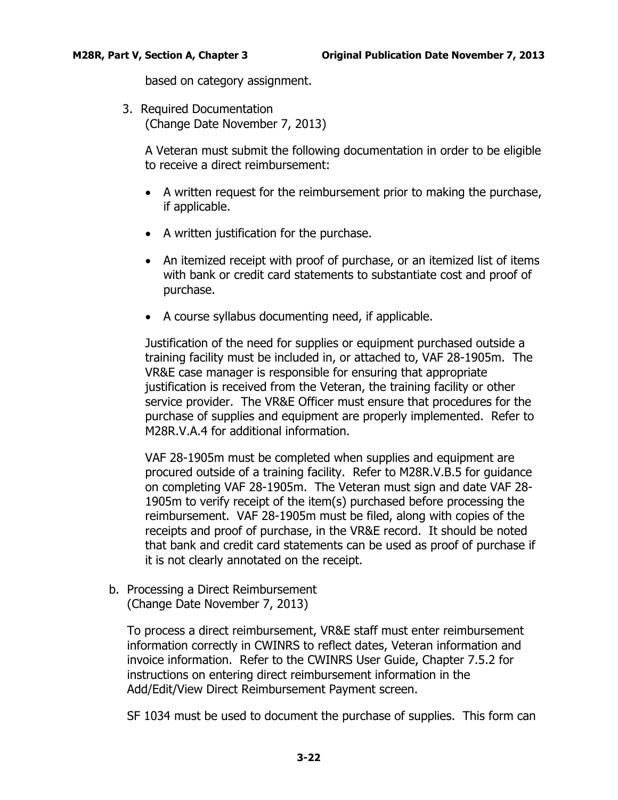based on category assignment.

3. Required Documentation (Change Date November 7, 2013)

> A Veteran must submit the following documentation in order to be eligible to receive a direct reimbursement:

- A written request for the reimbursement prior to making the purchase, if applicable.
- A written justification for the purchase.
- An itemized receipt with proof of purchase, or an itemized list of items with bank or credit card statements to substantiate cost and proof of purchase.
- A course syllabus documenting need, if applicable.

Justification of the need for supplies or equipment purchased outside a training facility must be included in, or attached to, VAF 28-1905m. The VR&E case manager is responsible for ensuring that appropriate justification is received from the Veteran, the training facility or other service provider. The VR&E Officer must ensure that procedures for the purchase of supplies and equipment are properly implemented. Refer to M28R.V.A.4 for additional information.

VAF 28-1905m must be completed when supplies and equipment are procured outside of a training facility. Refer to M28R.V.B.5 for guidance on completing VAF 28-1905m. The Veteran must sign and date VAF 28- 1905m to verify receipt of the item(s) purchased before processing the reimbursement. VAF 28-1905m must be filed, along with copies of the receipts and proof of purchase, in the VR&E record. It should be noted that bank and credit card statements can be used as proof of purchase if it is not clearly annotated on the receipt.

<span id="page-23-0"></span>b. Processing a Direct Reimbursement (Change Date November 7, 2013)

To process a direct reimbursement, VR&E staff must enter reimbursement information correctly in CWINRS to reflect dates, Veteran information and invoice information. Refer to the CWINRS User Guide, Chapter 7.5.2 for instructions on entering direct reimbursement information in the Add/Edit/View Direct Reimbursement Payment screen.

SF 1034 must be used to document the purchase of supplies. This form can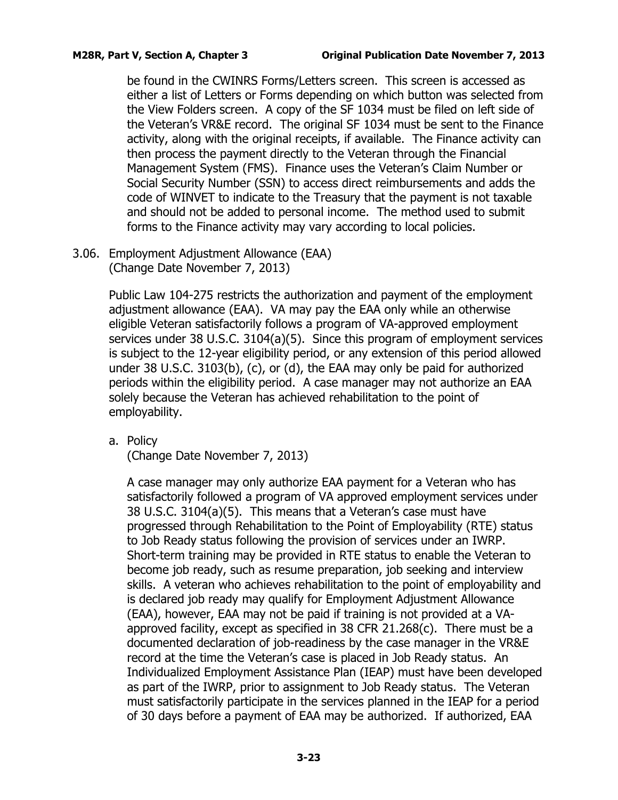be found in the CWINRS Forms/Letters screen. This screen is accessed as either a list of Letters or Forms depending on which button was selected from the View Folders screen. A copy of the SF 1034 must be filed on left side of the Veteran's VR&E record. The original SF 1034 must be sent to the Finance activity, along with the original receipts, if available. The Finance activity can then process the payment directly to the Veteran through the Financial Management System (FMS). Finance uses the Veteran's Claim Number or Social Security Number (SSN) to access direct reimbursements and adds the code of WINVET to indicate to the Treasury that the payment is not taxable and should not be added to personal income. The method used to submit forms to the Finance activity may vary according to local policies.

<span id="page-24-0"></span>3.06. Employment Adjustment Allowance (EAA) (Change Date November 7, 2013)

> Public Law 104-275 restricts the authorization and payment of the employment adjustment allowance (EAA). VA may pay the EAA only while an otherwise eligible Veteran satisfactorily follows a program of VA-approved employment services under 38 U.S.C. 3104(a)(5). Since this program of employment services is subject to the 12-year eligibility period, or any extension of this period allowed under 38 U.S.C. 3103(b), (c), or (d), the EAA may only be paid for authorized periods within the eligibility period. A case manager may not authorize an EAA solely because the Veteran has achieved rehabilitation to the point of employability.

<span id="page-24-1"></span>a. Policy

(Change Date November 7, 2013)

A case manager may only authorize EAA payment for a Veteran who has satisfactorily followed a program of VA approved employment services under 38 U.S.C. 3104(a)(5). This means that a Veteran's case must have progressed through Rehabilitation to the Point of Employability (RTE) status to Job Ready status following the provision of services under an IWRP. Short-term training may be provided in RTE status to enable the Veteran to become job ready, such as resume preparation, job seeking and interview skills. A veteran who achieves rehabilitation to the point of employability and is declared job ready may qualify for Employment Adjustment Allowance (EAA), however, EAA may not be paid if training is not provided at a VAapproved facility, except as specified in 38 CFR 21.268(c). There must be a documented declaration of job-readiness by the case manager in the VR&E record at the time the Veteran's case is placed in Job Ready status. An Individualized Employment Assistance Plan (IEAP) must have been developed as part of the IWRP, prior to assignment to Job Ready status. The Veteran must satisfactorily participate in the services planned in the IEAP for a period of 30 days before a payment of EAA may be authorized. If authorized, EAA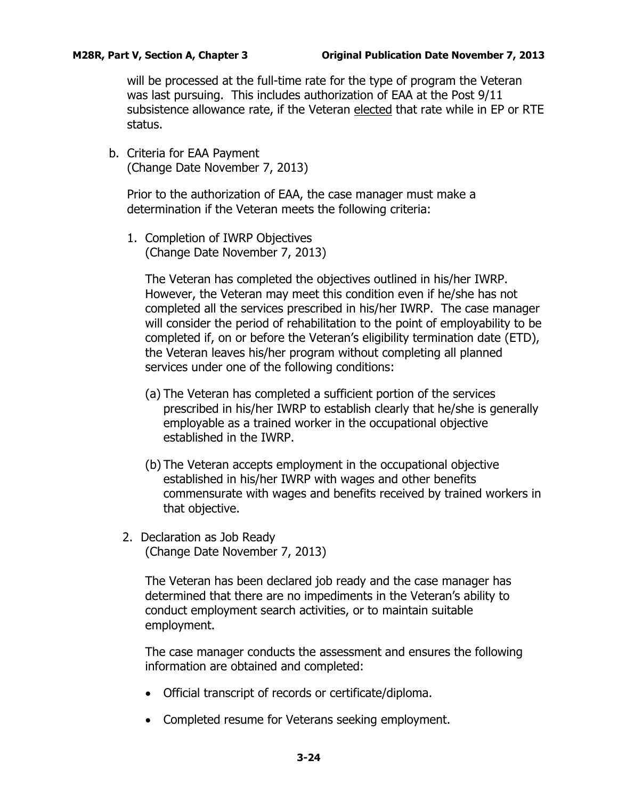will be processed at the full-time rate for the type of program the Veteran was last pursuing. This includes authorization of EAA at the Post 9/11 subsistence allowance rate, if the Veteran elected that rate while in EP or RTE status.

<span id="page-25-0"></span>b. Criteria for EAA Payment (Change Date November 7, 2013)

Prior to the authorization of EAA, the case manager must make a determination if the Veteran meets the following criteria:

1. Completion of IWRP Objectives (Change Date November 7, 2013)

The Veteran has completed the objectives outlined in his/her IWRP. However, the Veteran may meet this condition even if he/she has not completed all the services prescribed in his/her IWRP. The case manager will consider the period of rehabilitation to the point of employability to be completed if, on or before the Veteran's eligibility termination date (ETD), the Veteran leaves his/her program without completing all planned services under one of the following conditions:

- (a) The Veteran has completed a sufficient portion of the services prescribed in his/her IWRP to establish clearly that he/she is generally employable as a trained worker in the occupational objective established in the IWRP.
- (b) The Veteran accepts employment in the occupational objective established in his/her IWRP with wages and other benefits commensurate with wages and benefits received by trained workers in that objective.
- 2. Declaration as Job Ready (Change Date November 7, 2013)

The Veteran has been declared job ready and the case manager has determined that there are no impediments in the Veteran's ability to conduct employment search activities, or to maintain suitable employment.

The case manager conducts the assessment and ensures the following information are obtained and completed:

- Official transcript of records or certificate/diploma.
- Completed resume for Veterans seeking employment.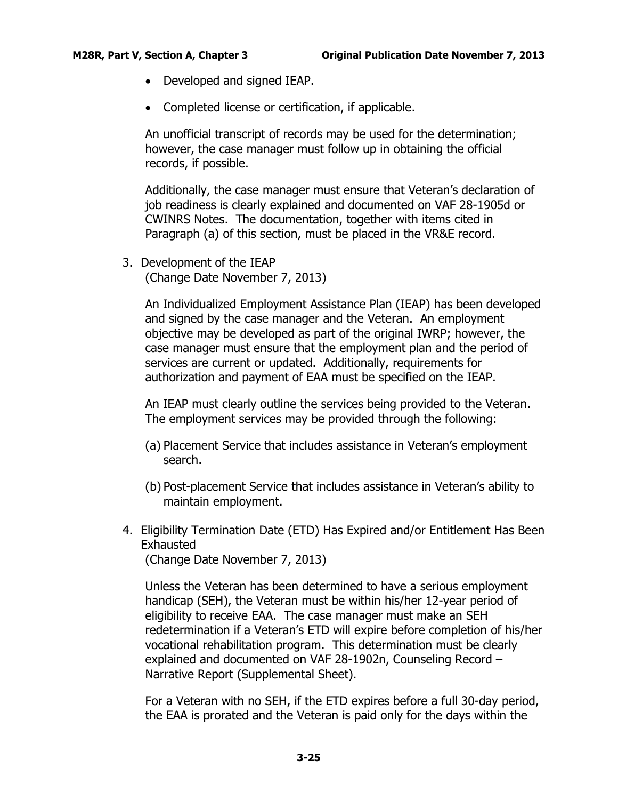- Developed and signed IEAP.
- Completed license or certification, if applicable.

An unofficial transcript of records may be used for the determination; however, the case manager must follow up in obtaining the official records, if possible.

Additionally, the case manager must ensure that Veteran's declaration of job readiness is clearly explained and documented on VAF 28-1905d or CWINRS Notes. The documentation, together with items cited in Paragraph (a) of this section, must be placed in the VR&E record.

3. Development of the IEAP (Change Date November 7, 2013)

> An Individualized Employment Assistance Plan (IEAP) has been developed and signed by the case manager and the Veteran. An employment objective may be developed as part of the original IWRP; however, the case manager must ensure that the employment plan and the period of services are current or updated. Additionally, requirements for authorization and payment of EAA must be specified on the IEAP.

An IEAP must clearly outline the services being provided to the Veteran. The employment services may be provided through the following:

- (a) Placement Service that includes assistance in Veteran's employment search.
- (b) Post-placement Service that includes assistance in Veteran's ability to maintain employment.
- 4. Eligibility Termination Date (ETD) Has Expired and/or Entitlement Has Been Exhausted (Change Date November 7, 2013)

Unless the Veteran has been determined to have a serious employment handicap (SEH), the Veteran must be within his/her 12-year period of eligibility to receive EAA. The case manager must make an SEH redetermination if a Veteran's ETD will expire before completion of his/her vocational rehabilitation program. This determination must be clearly explained and documented on VAF 28-1902n, Counseling Record – Narrative Report (Supplemental Sheet).

For a Veteran with no SEH, if the ETD expires before a full 30-day period, the EAA is prorated and the Veteran is paid only for the days within the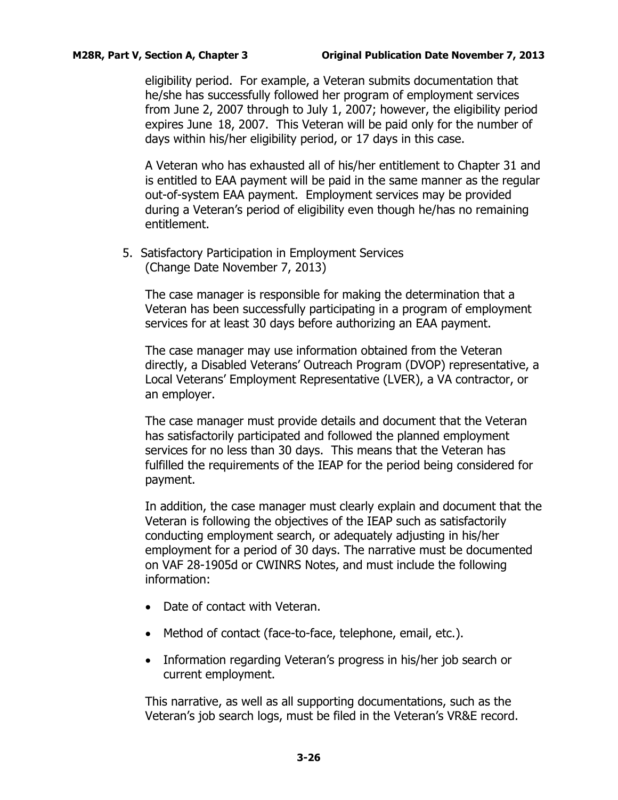eligibility period. For example, a Veteran submits documentation that he/she has successfully followed her program of employment services from June 2, 2007 through to July 1, 2007; however, the eligibility period expires June 18, 2007. This Veteran will be paid only for the number of days within his/her eligibility period, or 17 days in this case.

A Veteran who has exhausted all of his/her entitlement to Chapter 31 and is entitled to EAA payment will be paid in the same manner as the regular out-of-system EAA payment. Employment services may be provided during a Veteran's period of eligibility even though he/has no remaining entitlement.

5. Satisfactory Participation in Employment Services (Change Date November 7, 2013)

The case manager is responsible for making the determination that a Veteran has been successfully participating in a program of employment services for at least 30 days before authorizing an EAA payment.

The case manager may use information obtained from the Veteran directly, a Disabled Veterans' Outreach Program (DVOP) representative, a Local Veterans' Employment Representative (LVER), a VA contractor, or an employer.

The case manager must provide details and document that the Veteran has satisfactorily participated and followed the planned employment services for no less than 30 days. This means that the Veteran has fulfilled the requirements of the IEAP for the period being considered for payment.

In addition, the case manager must clearly explain and document that the Veteran is following the objectives of the IEAP such as satisfactorily conducting employment search, or adequately adjusting in his/her employment for a period of 30 days. The narrative must be documented on VAF 28-1905d or CWINRS Notes, and must include the following information:

- Date of contact with Veteran.
- Method of contact (face-to-face, telephone, email, etc.).
- Information regarding Veteran's progress in his/her job search or current employment.

This narrative, as well as all supporting documentations, such as the Veteran's job search logs, must be filed in the Veteran's VR&E record.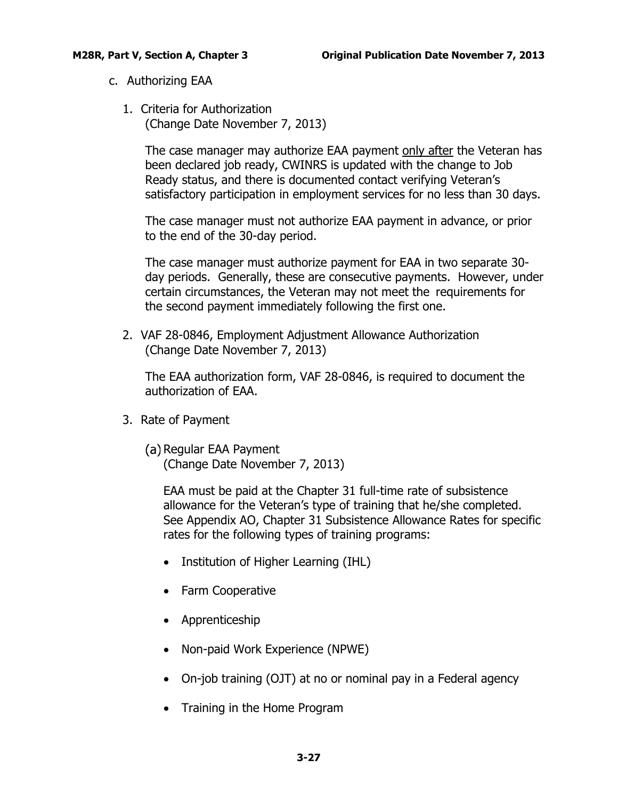- <span id="page-28-0"></span>c. Authorizing EAA
	- 1. Criteria for Authorization (Change Date November 7, 2013)

The case manager may authorize EAA payment only after the Veteran has been declared job ready, CWINRS is updated with the change to Job Ready status, and there is documented contact verifying Veteran's satisfactory participation in employment services for no less than 30 days.

The case manager must not authorize EAA payment in advance, or prior to the end of the 30-day period.

The case manager must authorize payment for EAA in two separate 30 day periods. Generally, these are consecutive payments. However, under certain circumstances, the Veteran may not meet the requirements for the second payment immediately following the first one.

2. VAF 28-0846, Employment Adjustment Allowance Authorization (Change Date November 7, 2013)

The EAA authorization form, VAF 28-0846, is required to document the authorization of EAA.

- 3. Rate of Payment
	- (a) Regular EAA Payment (Change Date November 7, 2013)

EAA must be paid at the Chapter 31 full-time rate of subsistence allowance for the Veteran's type of training that he/she completed. See Appendix AO, Chapter 31 Subsistence Allowance Rates for specific rates for the following types of training programs:

- Institution of Higher Learning (IHL)
- Farm Cooperative
- Apprenticeship
- Non-paid Work Experience (NPWE)
- On-job training (OJT) at no or nominal pay in a Federal agency
- Training in the Home Program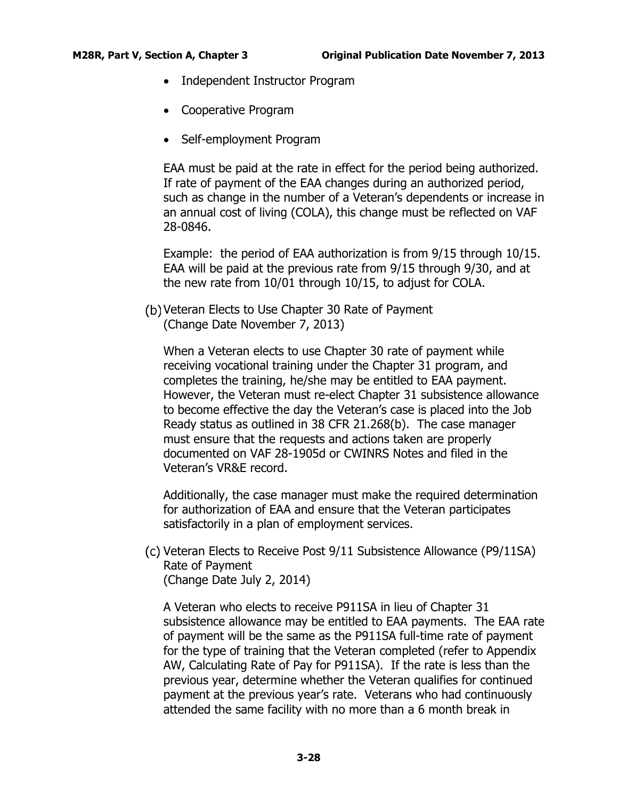- Independent Instructor Program
- Cooperative Program
- Self-employment Program

EAA must be paid at the rate in effect for the period being authorized. If rate of payment of the EAA changes during an authorized period, such as change in the number of a Veteran's dependents or increase in an annual cost of living (COLA), this change must be reflected on VAF 28-0846.

Example: the period of EAA authorization is from 9/15 through 10/15. EAA will be paid at the previous rate from 9/15 through 9/30, and at the new rate from 10/01 through 10/15, to adjust for COLA.

Veteran Elects to Use Chapter 30 Rate of Payment (Change Date November 7, 2013)

When a Veteran elects to use Chapter 30 rate of payment while receiving vocational training under the Chapter 31 program, and completes the training, he/she may be entitled to EAA payment. However, the Veteran must re-elect Chapter 31 subsistence allowance to become effective the day the Veteran's case is placed into the Job Ready status as outlined in 38 CFR 21.268(b). The case manager must ensure that the requests and actions taken are properly documented on VAF 28-1905d or CWINRS Notes and filed in the Veteran's VR&E record.

Additionally, the case manager must make the required determination for authorization of EAA and ensure that the Veteran participates satisfactorily in a plan of employment services.

Veteran Elects to Receive Post 9/11 Subsistence Allowance (P9/11SA) Rate of Payment (Change Date July 2, 2014)

A Veteran who elects to receive P911SA in lieu of Chapter 31 subsistence allowance may be entitled to EAA payments. The EAA rate of payment will be the same as the P911SA full-time rate of payment for the type of training that the Veteran completed (refer to Appendix AW, Calculating Rate of Pay for P911SA). If the rate is less than the previous year, determine whether the Veteran qualifies for continued payment at the previous year's rate. Veterans who had continuously attended the same facility with no more than a 6 month break in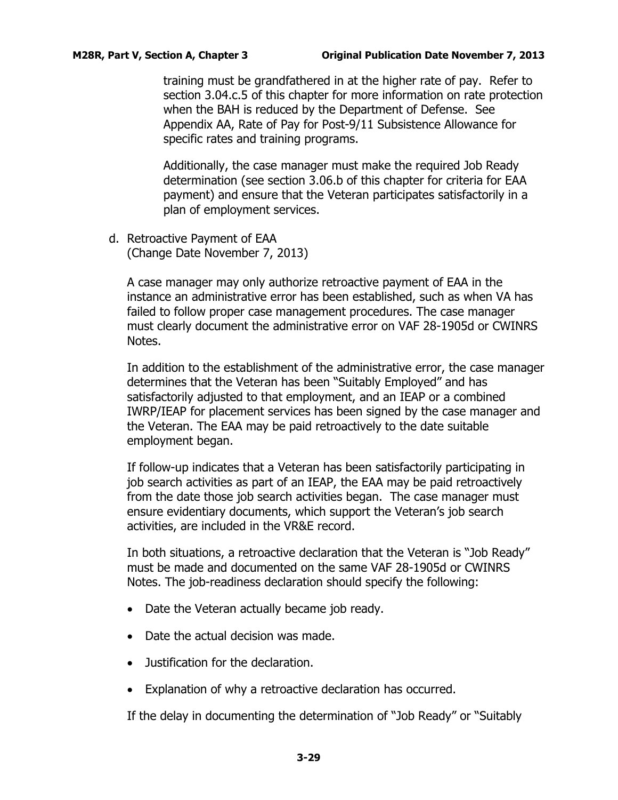training must be grandfathered in at the higher rate of pay. Refer to section 3.04.c.5 of this chapter for more information on rate protection when the BAH is reduced by the Department of Defense. See Appendix AA, Rate of Pay for Post-9/11 Subsistence Allowance for specific rates and training programs.

Additionally, the case manager must make the required Job Ready determination (see section 3.06.b of this chapter for criteria for EAA payment) and ensure that the Veteran participates satisfactorily in a plan of employment services.

<span id="page-30-0"></span>d. Retroactive Payment of EAA (Change Date November 7, 2013)

A case manager may only authorize retroactive payment of EAA in the instance an administrative error has been established, such as when VA has failed to follow proper case management procedures. The case manager must clearly document the administrative error on VAF 28-1905d or CWINRS Notes.

In addition to the establishment of the administrative error, the case manager determines that the Veteran has been "Suitably Employed" and has satisfactorily adjusted to that employment, and an IEAP or a combined IWRP/IEAP for placement services has been signed by the case manager and the Veteran. The EAA may be paid retroactively to the date suitable employment began.

If follow-up indicates that a Veteran has been satisfactorily participating in job search activities as part of an IEAP, the EAA may be paid retroactively from the date those job search activities began. The case manager must ensure evidentiary documents, which support the Veteran's job search activities, are included in the VR&E record.

In both situations, a retroactive declaration that the Veteran is "Job Ready" must be made and documented on the same VAF 28-1905d or CWINRS Notes. The job-readiness declaration should specify the following:

- Date the Veteran actually became job ready.
- Date the actual decision was made.
- Justification for the declaration.
- Explanation of why a retroactive declaration has occurred.

If the delay in documenting the determination of "Job Ready" or "Suitably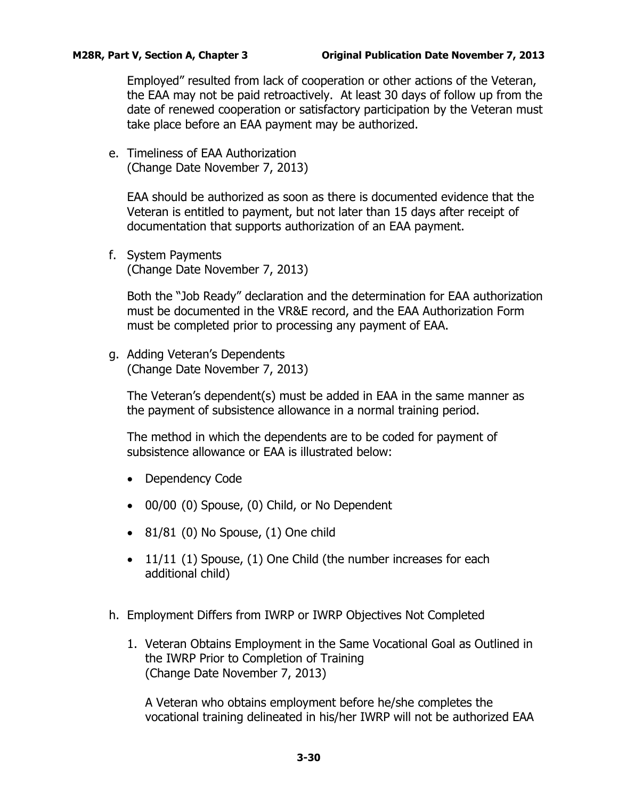Employed" resulted from lack of cooperation or other actions of the Veteran, the EAA may not be paid retroactively. At least 30 days of follow up from the date of renewed cooperation or satisfactory participation by the Veteran must take place before an EAA payment may be authorized.

<span id="page-31-0"></span>e. Timeliness of EAA Authorization (Change Date November 7, 2013)

EAA should be authorized as soon as there is documented evidence that the Veteran is entitled to payment, but not later than 15 days after receipt of documentation that supports authorization of an EAA payment.

<span id="page-31-1"></span>f. System Payments (Change Date November 7, 2013)

Both the "Job Ready" declaration and the determination for EAA authorization must be documented in the VR&E record, and the EAA Authorization Form must be completed prior to processing any payment of EAA.

<span id="page-31-2"></span>g. Adding Veteran's Dependents (Change Date November 7, 2013)

The Veteran's dependent(s) must be added in EAA in the same manner as the payment of subsistence allowance in a normal training period.

The method in which the dependents are to be coded for payment of subsistence allowance or EAA is illustrated below:

- Dependency Code
- 00/00 (0) Spouse, (0) Child, or No Dependent
- $\bullet$  81/81 (0) No Spouse, (1) One child
- 11/11 (1) Spouse, (1) One Child (the number increases for each additional child)
- <span id="page-31-3"></span>h. Employment Differs from IWRP or IWRP Objectives Not Completed
	- 1. Veteran Obtains Employment in the Same Vocational Goal as Outlined in the IWRP Prior to Completion of Training (Change Date November 7, 2013)

A Veteran who obtains employment before he/she completes the vocational training delineated in his/her IWRP will not be authorized EAA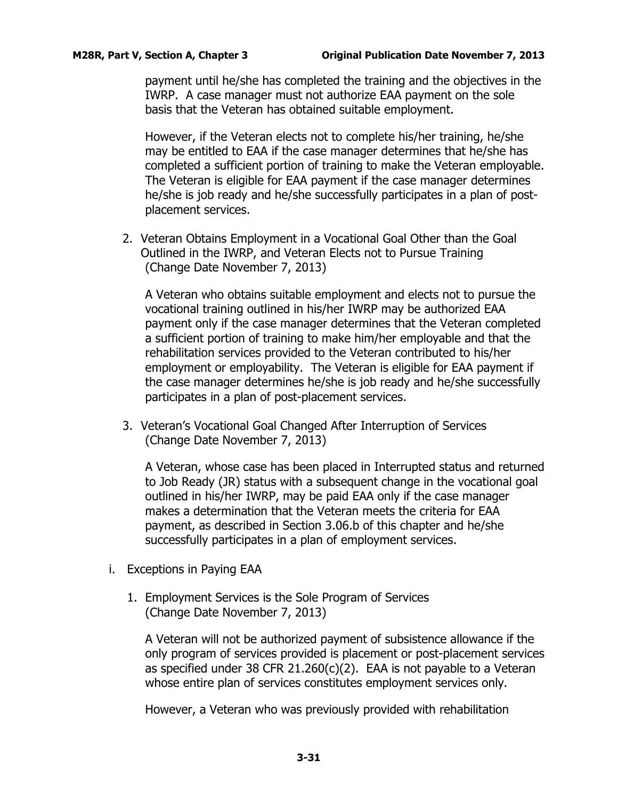payment until he/she has completed the training and the objectives in the IWRP. A case manager must not authorize EAA payment on the sole basis that the Veteran has obtained suitable employment.

However, if the Veteran elects not to complete his/her training, he/she may be entitled to EAA if the case manager determines that he/she has completed a sufficient portion of training to make the Veteran employable. The Veteran is eligible for EAA payment if the case manager determines he/she is job ready and he/she successfully participates in a plan of postplacement services.

2. Veteran Obtains Employment in a Vocational Goal Other than the Goal Outlined in the IWRP, and Veteran Elects not to Pursue Training (Change Date November 7, 2013)

A Veteran who obtains suitable employment and elects not to pursue the vocational training outlined in his/her IWRP may be authorized EAA payment only if the case manager determines that the Veteran completed a sufficient portion of training to make him/her employable and that the rehabilitation services provided to the Veteran contributed to his/her employment or employability. The Veteran is eligible for EAA payment if the case manager determines he/she is job ready and he/she successfully participates in a plan of post-placement services.

3. Veteran's Vocational Goal Changed After Interruption of Services (Change Date November 7, 2013)

A Veteran, whose case has been placed in Interrupted status and returned to Job Ready (JR) status with a subsequent change in the vocational goal outlined in his/her IWRP, may be paid EAA only if the case manager makes a determination that the Veteran meets the criteria for EAA payment, as described in Section 3.06.b of this chapter and he/she successfully participates in a plan of employment services.

- <span id="page-32-0"></span>i. Exceptions in Paying EAA
	- 1. Employment Services is the Sole Program of Services (Change Date November 7, 2013)

A Veteran will not be authorized payment of subsistence allowance if the only program of services provided is placement or post-placement services as specified under 38 CFR 21.260(c)(2). EAA is not payable to a Veteran whose entire plan of services constitutes employment services only.

However, a Veteran who was previously provided with rehabilitation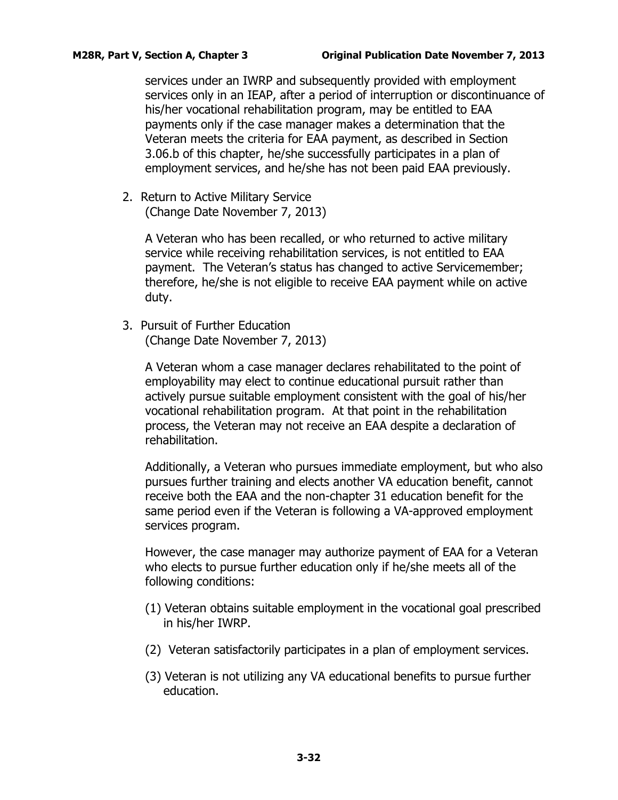services under an IWRP and subsequently provided with employment services only in an IEAP, after a period of interruption or discontinuance of his/her vocational rehabilitation program, may be entitled to EAA payments only if the case manager makes a determination that the Veteran meets the criteria for EAA payment, as described in Section 3.06.b of this chapter, he/she successfully participates in a plan of employment services, and he/she has not been paid EAA previously.

2. Return to Active Military Service (Change Date November 7, 2013)

> A Veteran who has been recalled, or who returned to active military service while receiving rehabilitation services, is not entitled to EAA payment. The Veteran's status has changed to active Servicemember; therefore, he/she is not eligible to receive EAA payment while on active duty.

3. Pursuit of Further Education (Change Date November 7, 2013)

> A Veteran whom a case manager declares rehabilitated to the point of employability may elect to continue educational pursuit rather than actively pursue suitable employment consistent with the goal of his/her vocational rehabilitation program. At that point in the rehabilitation process, the Veteran may not receive an EAA despite a declaration of rehabilitation.

Additionally, a Veteran who pursues immediate employment, but who also pursues further training and elects another VA education benefit, cannot receive both the EAA and the non-chapter 31 education benefit for the same period even if the Veteran is following a VA-approved employment services program.

However, the case manager may authorize payment of EAA for a Veteran who elects to pursue further education only if he/she meets all of the following conditions:

- (1) Veteran obtains suitable employment in the vocational goal prescribed in his/her IWRP.
- (2) Veteran satisfactorily participates in a plan of employment services.
- (3) Veteran is not utilizing any VA educational benefits to pursue further education.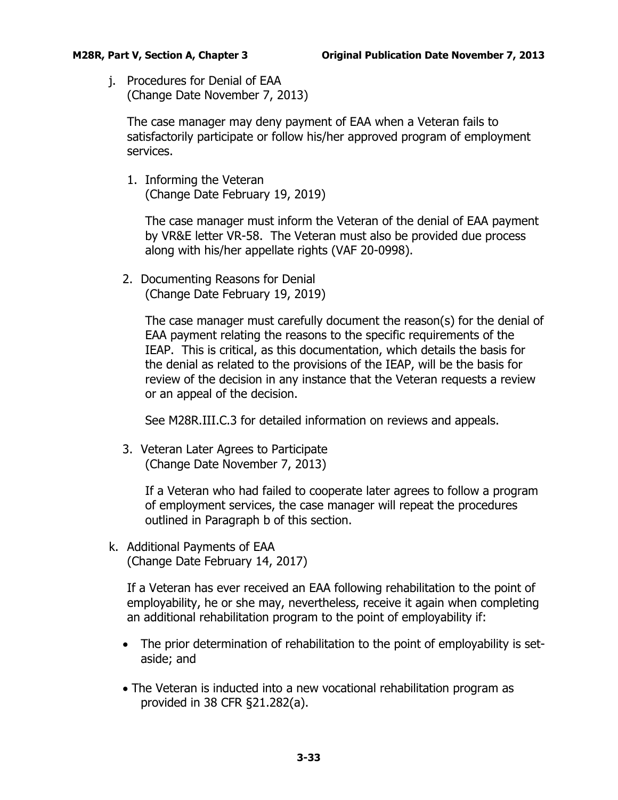<span id="page-34-0"></span>j. Procedures for Denial of EAA (Change Date November 7, 2013)

The case manager may deny payment of EAA when a Veteran fails to satisfactorily participate or follow his/her approved program of employment services.

1. Informing the Veteran (Change Date February 19, 2019)

The case manager must inform the Veteran of the denial of EAA payment by VR&E letter VR-58. The Veteran must also be provided due process along with his/her appellate rights (VAF 20-0998).

2. Documenting Reasons for Denial (Change Date February 19, 2019)

> The case manager must carefully document the reason(s) for the denial of EAA payment relating the reasons to the specific requirements of the IEAP. This is critical, as this documentation, which details the basis for the denial as related to the provisions of the IEAP, will be the basis for review of the decision in any instance that the Veteran requests a review or an appeal of the decision.

See M28R.III.C.3 for detailed information on reviews and appeals.

3. Veteran Later Agrees to Participate (Change Date November 7, 2013)

> If a Veteran who had failed to cooperate later agrees to follow a program of employment services, the case manager will repeat the procedures outlined in Paragraph b of this section.

<span id="page-34-1"></span>k. Additional Payments of EAA (Change Date February 14, 2017)

If a Veteran has ever received an EAA following rehabilitation to the point of employability, he or she may, nevertheless, receive it again when completing an additional rehabilitation program to the point of employability if:

- The prior determination of rehabilitation to the point of employability is setaside; and
- The Veteran is inducted into a new vocational rehabilitation program as provided in 38 CFR §21.282(a).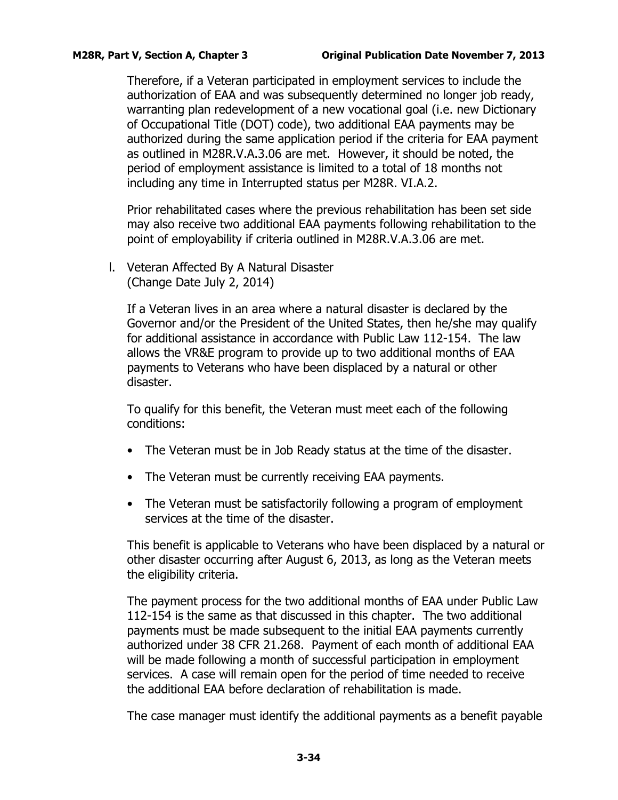Therefore, if a Veteran participated in employment services to include the authorization of EAA and was subsequently determined no longer job ready, warranting plan redevelopment of a new vocational goal (i.e. new Dictionary of Occupational Title (DOT) code), two additional EAA payments may be authorized during the same application period if the criteria for EAA payment as outlined in M28R.V.A.3.06 are met. However, it should be noted, the period of employment assistance is limited to a total of 18 months not including any time in Interrupted status per M28R. VI.A.2.

Prior rehabilitated cases where the previous rehabilitation has been set side may also receive two additional EAA payments following rehabilitation to the point of employability if criteria outlined in M28R.V.A.3.06 are met.

<span id="page-35-0"></span>l. Veteran Affected By A Natural Disaster (Change Date July 2, 2014)

If a Veteran lives in an area where a natural disaster is declared by the Governor and/or the President of the United States, then he/she may qualify for additional assistance in accordance with Public Law 112-154. The law allows the VR&E program to provide up to two additional months of EAA payments to Veterans who have been displaced by a natural or other disaster.

To qualify for this benefit, the Veteran must meet each of the following conditions:

- The Veteran must be in Job Ready status at the time of the disaster.
- The Veteran must be currently receiving EAA payments.
- The Veteran must be satisfactorily following a program of employment services at the time of the disaster.

This benefit is applicable to Veterans who have been displaced by a natural or other disaster occurring after August 6, 2013, as long as the Veteran meets the eligibility criteria.

The payment process for the two additional months of EAA under Public Law 112-154 is the same as that discussed in this chapter. The two additional payments must be made subsequent to the initial EAA payments currently authorized under 38 CFR 21.268. Payment of each month of additional EAA will be made following a month of successful participation in employment services. A case will remain open for the period of time needed to receive the additional EAA before declaration of rehabilitation is made.

The case manager must identify the additional payments as a benefit payable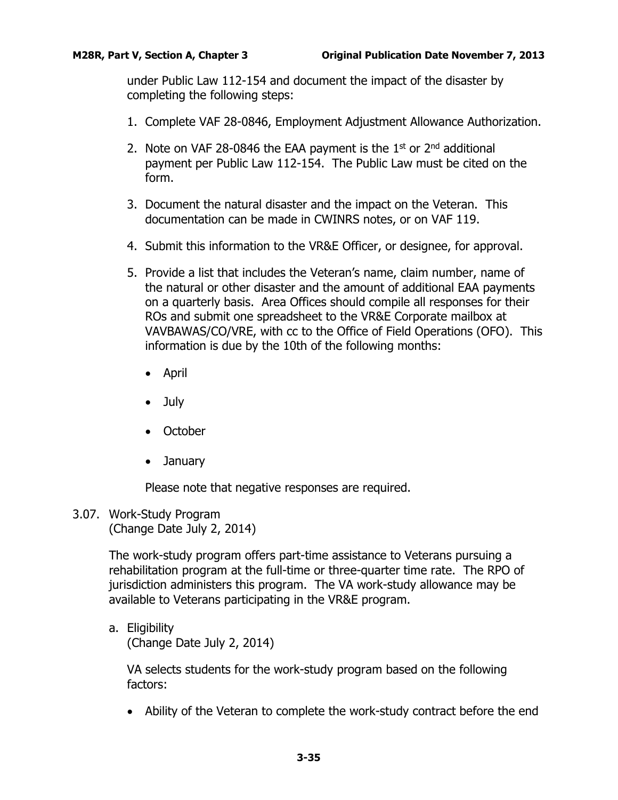under Public Law 112-154 and document the impact of the disaster by completing the following steps:

- 1. Complete VAF 28-0846, Employment Adjustment Allowance Authorization.
- 2. Note on VAF 28-0846 the EAA payment is the  $1<sup>st</sup>$  or  $2<sup>nd</sup>$  additional payment per Public Law 112-154. The Public Law must be cited on the form.
- 3. Document the natural disaster and the impact on the Veteran. This documentation can be made in CWINRS notes, or on VAF 119.
- 4. Submit this information to the VR&E Officer, or designee, for approval.
- 5. Provide a list that includes the Veteran's name, claim number, name of the natural or other disaster and the amount of additional EAA payments on a quarterly basis. Area Offices should compile all responses for their ROs and submit one spreadsheet to the VR&E Corporate mailbox at VAVBAWAS/CO/VRE, with cc to the Office of Field Operations (OFO). This information is due by the 10th of the following months:
	- April
	- July
	- October
	- January

Please note that negative responses are required.

<span id="page-36-0"></span>3.07. Work-Study Program (Change Date July 2, 2014)

> The work-study program offers part-time assistance to Veterans pursuing a rehabilitation program at the full-time or three-quarter time rate. The RPO of jurisdiction administers this program. The VA work-study allowance may be available to Veterans participating in the VR&E program.

<span id="page-36-1"></span>a. Eligibility (Change Date July 2, 2014)

> VA selects students for the work-study program based on the following factors:

• Ability of the Veteran to complete the work-study contract before the end